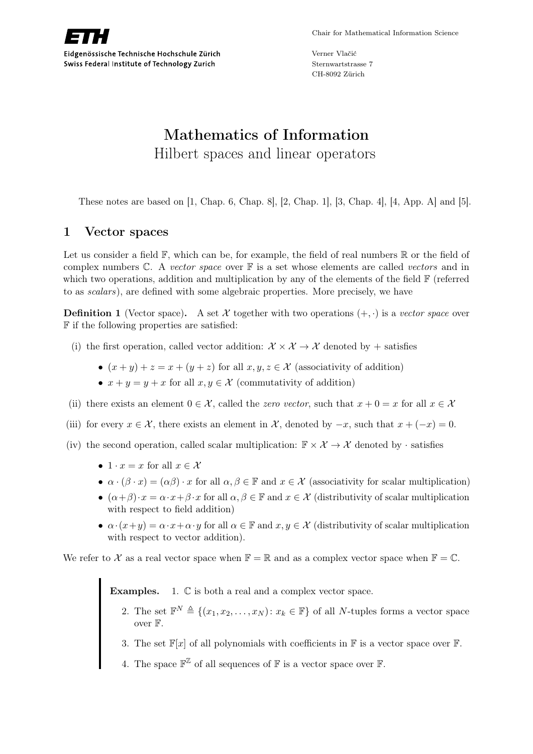

Verner Vlačić Sternwartstrasse 7 CH-8092 Zürich

# Mathematics of Information Hilbert spaces and linear operators

These notes are based on [1, Chap. 6, Chap. 8], [2, Chap. 1], [3, Chap. 4], [4, App. A] and [5].

# 1 Vector spaces

Let us consider a field  $\mathbb{F}$ , which can be, for example, the field of real numbers  $\mathbb{R}$  or the field of complex numbers  $\mathbb{C}$ . A vector space over  $\mathbb{F}$  is a set whose elements are called vectors and in which two operations, addition and multiplication by any of the elements of the field F (referred to as scalars), are defined with some algebraic properties. More precisely, we have

**Definition 1** (Vector space). A set X together with two operations  $(+, \cdot)$  is a vector space over F if the following properties are satisfied:

- (i) the first operation, called vector addition:  $\mathcal{X} \times \mathcal{X} \to \mathcal{X}$  denoted by + satisfies
	- $(x + y) + z = x + (y + z)$  for all  $x, y, z \in \mathcal{X}$  (associativity of addition)
	- $x + y = y + x$  for all  $x, y \in \mathcal{X}$  (commutativity of addition)
- (ii) there exists an element  $0 \in \mathcal{X}$ , called the *zero vector*, such that  $x + 0 = x$  for all  $x \in \mathcal{X}$
- (iii) for every  $x \in \mathcal{X}$ , there exists an element in  $\mathcal{X}$ , denoted by  $-x$ , such that  $x + (-x) = 0$ .
- (iv) the second operation, called scalar multiplication:  $\mathbb{F} \times \mathcal{X} \to \mathcal{X}$  denoted by · satisfies
	- $1 \cdot x = x$  for all  $x \in \mathcal{X}$
	- $\alpha \cdot (\beta \cdot x) = (\alpha \beta) \cdot x$  for all  $\alpha, \beta \in \mathbb{F}$  and  $x \in \mathcal{X}$  (associativity for scalar multiplication)
	- $(\alpha + \beta) \cdot x = \alpha \cdot x + \beta \cdot x$  for all  $\alpha, \beta \in \mathbb{F}$  and  $x \in \mathcal{X}$  (distributivity of scalar multiplication with respect to field addition)
	- $\alpha \cdot (x+y) = \alpha \cdot x + \alpha \cdot y$  for all  $\alpha \in \mathbb{F}$  and  $x, y \in \mathcal{X}$  (distributivity of scalar multiplication with respect to vector addition).

We refer to X as a real vector space when  $\mathbb{F} = \mathbb{R}$  and as a complex vector space when  $\mathbb{F} = \mathbb{C}$ .

Examples. 1.  $\mathbb C$  is both a real and a complex vector space.

- 2. The set  $\mathbb{F}^N \triangleq \{(x_1, x_2, \ldots, x_N): x_k \in \mathbb{F}\}\$  of all N-tuples forms a vector space over F.
- 3. The set  $\mathbb{F}[x]$  of all polynomials with coefficients in  $\mathbb F$  is a vector space over  $\mathbb F$ .
- 4. The space  $\mathbb{F}^{\mathbb{Z}}$  of all sequences of  $\mathbb{F}$  is a vector space over  $\mathbb{F}$ .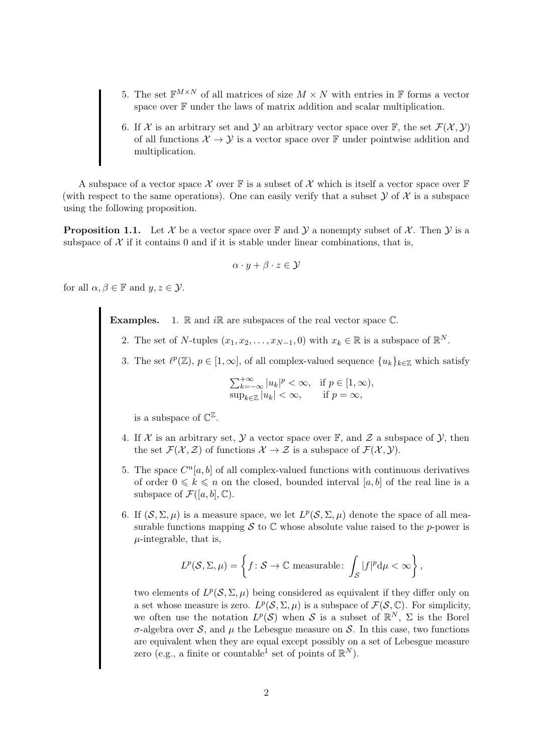- 5. The set  $\mathbb{F}^{M\times N}$  of all matrices of size  $M\times N$  with entries in F forms a vector space over  $\mathbb F$  under the laws of matrix addition and scalar multiplication.
- 6. If X is an arbitrary set and Y an arbitrary vector space over  $\mathbb{F}$ , the set  $\mathcal{F}(\mathcal{X}, \mathcal{Y})$ of all functions  $X \to Y$  is a vector space over F under pointwise addition and multiplication.

A subspace of a vector space X over  $\mathbb F$  is a subset of X which is itself a vector space over  $\mathbb F$ (with respect to the same operations). One can easily verify that a subset  $\mathcal Y$  of  $\mathcal X$  is a subspace using the following proposition.

**Proposition 1.1.** Let X be a vector space over  $\mathbb{F}$  and  $\mathcal{Y}$  a nonempty subset of X. Then  $\mathcal{Y}$  is a subspace of  $X$  if it contains 0 and if it is stable under linear combinations, that is,

$$
\alpha \cdot y + \beta \cdot z \in \mathcal{Y}
$$

for all  $\alpha, \beta \in \mathbb{F}$  and  $y, z \in \mathcal{Y}$ .

**Examples.** 1.  $\mathbb R$  and  $i\mathbb R$  are subspaces of the real vector space  $\mathbb C$ .

- 2. The set of N-tuples  $(x_1, x_2, \ldots, x_{N-1}, 0)$  with  $x_k \in \mathbb{R}$  is a subspace of  $\mathbb{R}^N$ .
- 3. The set  $\ell^p(\mathbb{Z}), p \in [1,\infty]$ , of all complex-valued sequence  $\{u_k\}_{k\in\mathbb{Z}}$  which satisfy

$$
\sum_{k=-\infty}^{+\infty} |u_k|^p < \infty, \quad \text{if } p \in [1, \infty),\\ \sup_{k \in \mathbb{Z}} |u_k| < \infty, \qquad \text{if } p = \infty,
$$

is a subspace of  $\mathbb{C}^{\mathbb{Z}}$ .

- 4. If X is an arbitrary set,  $\mathcal Y$  a vector space over  $\mathbb F$ , and  $\mathcal Z$  a subspace of  $\mathcal Y$ , then the set  $\mathcal{F}(\mathcal{X}, \mathcal{Z})$  of functions  $\mathcal{X} \to \mathcal{Z}$  is a subspace of  $\mathcal{F}(\mathcal{X}, \mathcal{Y})$ .
- 5. The space  $C<sup>n</sup>[a, b]$  of all complex-valued functions with continuous derivatives of order  $0 \leq k \leq n$  on the closed, bounded interval [a, b] of the real line is a subspace of  $\mathcal{F}([a, b], \mathbb{C})$ .
- 6. If  $(S, \Sigma, \mu)$  is a measure space, we let  $L^p(S, \Sigma, \mu)$  denote the space of all measurable functions mapping S to  $\mathbb C$  whose absolute value raised to the p-power is  $\mu$ -integrable, that is,

$$
L^p(\mathcal{S}, \Sigma, \mu) = \left\{ f \colon \mathcal{S} \to \mathbb{C} \text{ measurable: } \int_{\mathcal{S}} |f|^p \mathrm{d}\mu < \infty \right\},\
$$

two elements of  $L^p(\mathcal{S}, \Sigma, \mu)$  being considered as equivalent if they differ only on a set whose measure is zero.  $L^p(\mathcal{S}, \Sigma, \mu)$  is a subspace of  $\mathcal{F}(\mathcal{S}, \mathbb{C})$ . For simplicity, we often use the notation  $L^p(\mathcal{S})$  when S is a subset of  $\mathbb{R}^N$ ,  $\Sigma$  is the Borel σ-algebra over S, and µ the Lebesgue measure on S. In this case, two functions are equivalent when they are equal except possibly on a set of Lebesgue measure zero (e.g., a finite or countable<sup>1</sup> set of points of  $\mathbb{R}^N$ ).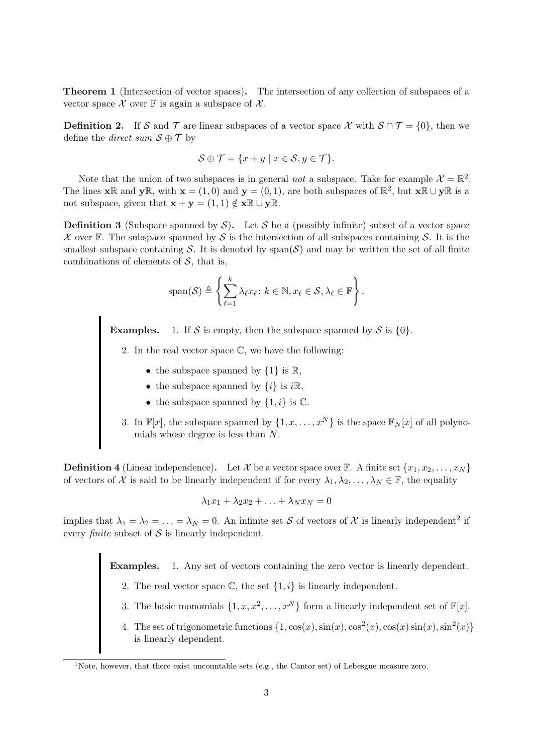Theorem 1 (Intersection of vector spaces). The intersection of any collection of subspaces of a vector space  $\mathcal X$  over  $\mathbb F$  is again a subspace of  $\mathcal X$ .

**Definition 2.** If S and T are linear subspaces of a vector space X with  $S \cap T = \{0\}$ , then we define the *direct* sum  $S \oplus T$  by

$$
\mathcal{S} \oplus \mathcal{T} = \{x + y \mid x \in \mathcal{S}, y \in \mathcal{T}\}.
$$

Note that the union of two subspaces is in general *not* a subspace. Take for example  $\mathcal{X} = \mathbb{R}^2$ . The lines  $\mathbf{x} \mathbb{R}$  and  $\mathbf{y} \mathbb{R}$ , with  $\mathbf{x} = (1,0)$  and  $\mathbf{y} = (0,1)$ , are both subspaces of  $\mathbb{R}^2$ , but  $\mathbf{x} \mathbb{R} \cup \mathbf{y} \mathbb{R}$  is a not subspace, given that  $\mathbf{x} + \mathbf{v} = (1, 1) \notin \mathbf{x} \mathbb{R} \cup \mathbf{v} \mathbb{R}$ .

**Definition 3** (Subspace spanned by  $S$ ). Let S be a (possibly infinite) subset of a vector space  $\mathcal X$  over F. The subspace spanned by S is the intersection of all subspaces containing S. It is the smallest subspace containing S. It is denoted by  $\text{span}(S)$  and may be written the set of all finite combinations of elements of  $S$ , that is,

$$
\mathrm{span}(\mathcal{S}) \triangleq \left\{ \sum_{\ell=1}^k \lambda_\ell x_\ell \colon k \in \mathbb{N}, x_\ell \in \mathcal{S}, \lambda_\ell \in \mathbb{F} \right\}.
$$

**Examples.** 1. If S is empty, then the subspace spanned by S is  $\{0\}$ .

2. In the real vector space  $\mathbb{C}$ , we have the following:

- the subspace spanned by  $\{1\}$  is  $\mathbb{R}$ ,
- the subspace spanned by  $\{i\}$  is  $i\mathbb{R}$ ,
- the subspace spanned by  $\{1, i\}$  is  $\mathbb{C}$ .
- 3. In  $\mathbb{F}[x]$ , the subspace spanned by  $\{1, x, \ldots, x^N\}$  is the space  $\mathbb{F}_N[x]$  of all polynomials whose degree is less than N.

**Definition 4** (Linear independence). Let X be a vector space over F. A finite set  $\{x_1, x_2, \ldots, x_N\}$ of vectors of X is said to be linearly independent if for every  $\lambda_1, \lambda_2, \ldots, \lambda_N \in \mathbb{F}$ , the equality

$$
\lambda_1 x_1 + \lambda_2 x_2 + \ldots + \lambda_N x_N = 0
$$

implies that  $\lambda_1 = \lambda_2 = \ldots = \lambda_N = 0$ . An infinite set S of vectors of X is linearly independent<sup>2</sup> if every *finite* subset of  $S$  is linearly independent.

Examples. 1. Any set of vectors containing the zero vector is linearly dependent.

- 2. The real vector space  $\mathbb{C}$ , the set  $\{1, i\}$  is linearly independent.
- 3. The basic monomials  $\{1, x, x^2, \ldots, x^N\}$  form a linearly independent set of  $\mathbb{F}[x]$ .
- 4. The set of trigonometric functions  $\{1, \cos(x), \sin(x), \cos^2(x), \cos(x)\sin(x), \sin^2(x)\}\$ is linearly dependent.

<sup>&</sup>lt;sup>1</sup>Note, however, that there exist uncountable sets (e.g., the Cantor set) of Lebesgue measure zero.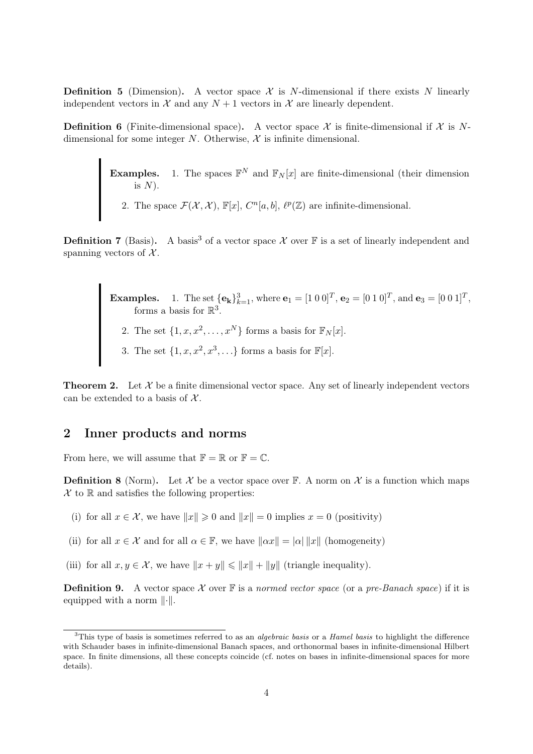**Definition 5** (Dimension). A vector space  $\mathcal{X}$  is N-dimensional if there exists N linearly independent vectors in  $\mathcal X$  and any  $N+1$  vectors in  $\mathcal X$  are linearly dependent.

**Definition 6** (Finite-dimensional space). A vector space  $\mathcal{X}$  is finite-dimensional if  $\mathcal{X}$  is Ndimensional for some integer N. Otherwise,  $\mathcal X$  is infinite dimensional.

> **Examples.** 1. The spaces  $\mathbb{F}^N$  and  $\mathbb{F}_N[x]$  are finite-dimensional (their dimension is  $N$ ).

2. The space  $\mathcal{F}(\mathcal{X}, \mathcal{X}), \mathbb{F}[x], C^n[a, b], \ell^p(\mathbb{Z})$  are infinite-dimensional.

**Definition 7** (Basis). A basis<sup>3</sup> of a vector space X over  $\mathbb{F}$  is a set of linearly independent and spanning vectors of  $\mathcal{X}$ .

> **Examples.** 1. The set  $\{e_k\}_{k=1}^3$ , where  $e_1 = [1 \ 0 \ 0]^T$ ,  $e_2 = [0 \ 1 \ 0]^T$ , and  $e_3 = [0 \ 0 \ 1]^T$ , forms a basis for  $\mathbb{R}^3$ . 2. The set  $\{1, x, x^2, \ldots, x^N\}$  forms a basis for  $\mathbb{F}_N[x]$ . 3. The set  $\{1, x, x^2, x^3, \ldots\}$  forms a basis for  $\mathbb{F}[x]$ .

**Theorem 2.** Let  $\mathcal{X}$  be a finite dimensional vector space. Any set of linearly independent vectors can be extended to a basis of  $\mathcal{X}$ .

## 2 Inner products and norms

From here, we will assume that  $\mathbb{F} = \mathbb{R}$  or  $\mathbb{F} = \mathbb{C}$ .

**Definition 8** (Norm). Let X be a vector space over  $\mathbb{F}$ . A norm on X is a function which maps  $\mathcal X$  to  $\mathbb R$  and satisfies the following properties:

- (i) for all  $x \in \mathcal{X}$ , we have  $||x|| \ge 0$  and  $||x|| = 0$  implies  $x = 0$  (positivity)
- (ii) for all  $x \in \mathcal{X}$  and for all  $\alpha \in \mathbb{F}$ , we have  $\|\alpha x\| = |\alpha| \|x\|$  (homogeneity)
- (iii) for all  $x, y \in \mathcal{X}$ , we have  $||x + y|| \le ||x|| + ||y||$  (triangle inequality).

**Definition 9.** A vector space X over  $\mathbb{F}$  is a normed vector space (or a pre-Banach space) if it is equipped with a norm  $\lVert \cdot \rVert$ .

 $3$ This type of basis is sometimes referred to as an *algebraic basis* or a *Hamel basis* to highlight the difference with Schauder bases in infinite-dimensional Banach spaces, and orthonormal bases in infinite-dimensional Hilbert space. In finite dimensions, all these concepts coincide (cf. notes on bases in infinite-dimensional spaces for more details).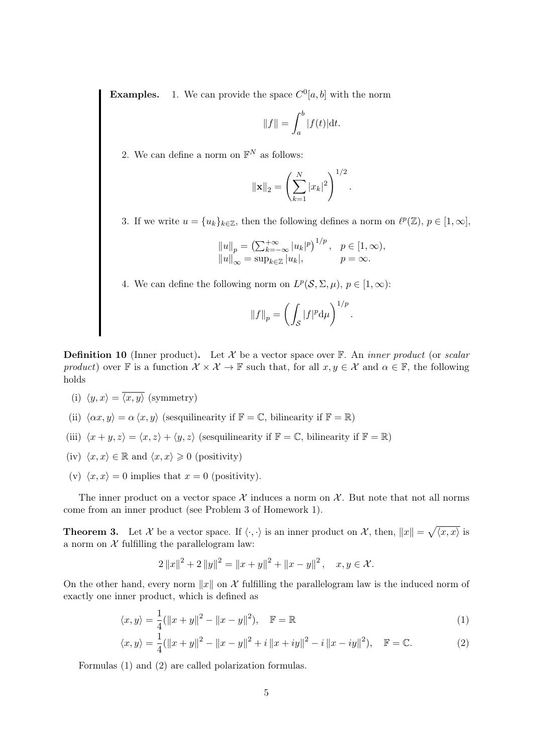**Examples.** 1. We can provide the space  $C^0[a, b]$  with the norm

$$
||f|| = \int_a^b |f(t)| \mathrm{d}t.
$$

2. We can define a norm on  $\mathbb{F}^N$  as follows:

$$
\|\mathbf{x}\|_2 = \left(\sum_{k=1}^N |x_k|^2\right)^{1/2}.
$$

3. If we write  $u = \{u_k\}_{k \in \mathbb{Z}}$ , then the following defines a norm on  $\ell^p(\mathbb{Z})$ ,  $p \in [1, \infty]$ ,

$$
||u||_p = \left(\sum_{k=-\infty}^{+\infty} |u_k|^p\right)^{1/p}, \quad p \in [1, \infty),
$$
  
 $||u||_{\infty} = \sup_{k \in \mathbb{Z}} |u_k|, \qquad p = \infty.$ 

4. We can define the following norm on  $L^p(\mathcal{S}, \Sigma, \mu)$ ,  $p \in [1, \infty)$ :

$$
||f||_p = \left(\int_{\mathcal{S}} |f|^p \mathrm{d}\mu\right)^{1/p}
$$

.

**Definition 10** (Inner product). Let X be a vector space over  $\mathbb{F}$ . An *inner product* (or scalar product) over F is a function  $\mathcal{X} \times \mathcal{X} \to \mathbb{F}$  such that, for all  $x, y \in \mathcal{X}$  and  $\alpha \in \mathbb{F}$ , the following holds

- (i)  $\langle y, x \rangle = \overline{\langle x, y \rangle}$  (symmetry)
- (ii)  $\langle \alpha x, y \rangle = \alpha \langle x, y \rangle$  (sesquilinearity if  $\mathbb{F} = \mathbb{C}$ , bilinearity if  $\mathbb{F} = \mathbb{R}$ )
- (iii)  $\langle x + y, z \rangle = \langle x, z \rangle + \langle y, z \rangle$  (sesquilinearity if  $\mathbb{F} = \mathbb{C}$ , bilinearity if  $\mathbb{F} = \mathbb{R}$ )
- (iv)  $\langle x, x \rangle \in \mathbb{R}$  and  $\langle x, x \rangle \geq 0$  (positivity)
- (v)  $\langle x, x \rangle = 0$  implies that  $x = 0$  (positivity).

The inner product on a vector space  $\mathcal X$  induces a norm on  $\mathcal X$ . But note that not all norms come from an inner product (see Problem 3 of Homework 1).

**Theorem 3.** Let X be a vector space. If  $\langle \cdot, \cdot \rangle$  is an inner product on X, then,  $||x|| = \sqrt{\langle x, x \rangle}$  is a norm on  $\mathcal X$  fulfilling the parallelogram law:

$$
2||x||^{2} + 2||y||^{2} = ||x + y||^{2} + ||x - y||^{2}, \quad x, y \in \mathcal{X}.
$$

On the other hand, every norm  $||x||$  on X fulfilling the parallelogram law is the induced norm of exactly one inner product, which is defined as

$$
\langle x, y \rangle = \frac{1}{4} (||x + y||^2 - ||x - y||^2), \quad \mathbb{F} = \mathbb{R}
$$
 (1)

$$
\langle x, y \rangle = \frac{1}{4} (\|x + y\|^2 - \|x - y\|^2 + i \|x + iy\|^2 - i \|x - iy\|^2), \quad \mathbb{F} = \mathbb{C}.
$$
 (2)

Formulas (1) and (2) are called polarization formulas.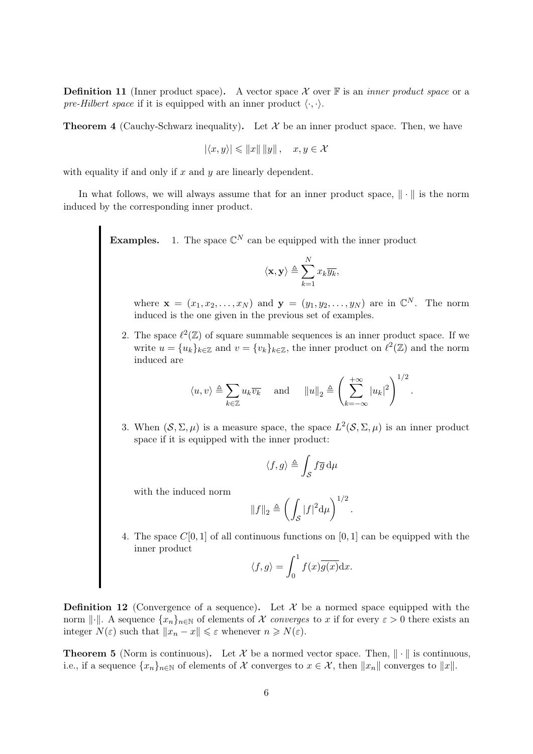**Definition 11** (Inner product space). A vector space X over  $\mathbb{F}$  is an *inner product space* or a pre-Hilbert space if it is equipped with an inner product  $\langle \cdot, \cdot \rangle$ .

**Theorem 4** (Cauchy-Schwarz inequality). Let  $\mathcal{X}$  be an inner product space. Then, we have

$$
|\langle x, y \rangle| \leq \|x\| \|y\|, \quad x, y \in \mathcal{X}
$$

with equality if and only if  $x$  and  $y$  are linearly dependent.

In what follows, we will always assume that for an inner product space,  $\|\cdot\|$  is the norm induced by the corresponding inner product.

**Examples.** 1. The space  $\mathbb{C}^N$  can be equipped with the inner product

$$
\langle \mathbf{x}, \mathbf{y} \rangle \triangleq \sum_{k=1}^{N} x_k \overline{y_k},
$$

where  $\mathbf{x} = (x_1, x_2, \dots, x_N)$  and  $\mathbf{y} = (y_1, y_2, \dots, y_N)$  are in  $\mathbb{C}^N$ . The norm induced is the one given in the previous set of examples.

2. The space  $\ell^2(\mathbb{Z})$  of square summable sequences is an inner product space. If we write  $u = \{u_k\}_{k \in \mathbb{Z}}$  and  $v = \{v_k\}_{k \in \mathbb{Z}}$ , the inner product on  $\ell^2(\mathbb{Z})$  and the norm induced are

$$
\langle u, v \rangle \triangleq \sum_{k \in \mathbb{Z}} u_k \overline{v_k}
$$
 and  $||u||_2 \triangleq \left(\sum_{k=-\infty}^{+\infty} |u_k|^2\right)^{1/2}$ 

.

3. When  $(S, \Sigma, \mu)$  is a measure space, the space  $L^2(S, \Sigma, \mu)$  is an inner product space if it is equipped with the inner product:

$$
\langle f, g \rangle \triangleq \int_{\mathcal{S}} f \overline{g} \, \mathrm{d}\mu
$$

with the induced norm

$$
||f||_2 \triangleq \left(\int_{\mathcal{S}} |f|^2 \mathrm{d}\mu\right)^{1/2}
$$

.

4. The space  $C[0, 1]$  of all continuous functions on  $[0, 1]$  can be equipped with the inner product

$$
\langle f, g \rangle = \int_0^1 f(x) \overline{g(x)} \mathrm{d}x.
$$

**Definition 12** (Convergence of a sequence). Let  $\mathcal{X}$  be a normed space equipped with the norm  $\lVert \cdot \rVert$ . A sequence  $\{x_n\}_{n\in\mathbb{N}}$  of elements of X converges to x if for every  $\varepsilon > 0$  there exists an integer  $N(\varepsilon)$  such that  $||x_n - x|| \leq \varepsilon$  whenever  $n \geq N(\varepsilon)$ .

**Theorem 5** (Norm is continuous). Let X be a normed vector space. Then,  $\|\cdot\|$  is continuous, i.e., if a sequence  $\{x_n\}_{n\in\mathbb{N}}$  of elements of X converges to  $x \in \mathcal{X}$ , then  $||x_n||$  converges to  $||x||$ .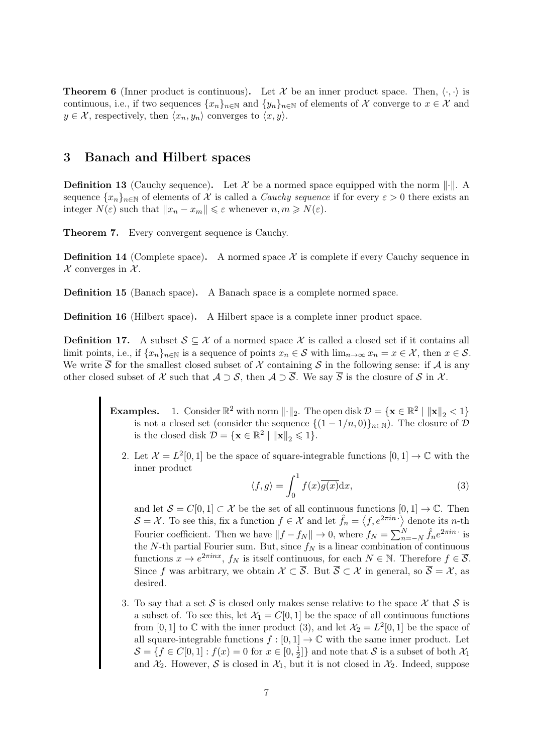**Theorem 6** (Inner product is continuous). Let X be an inner product space. Then,  $\langle \cdot, \cdot \rangle$  is continuous, i.e., if two sequences  $\{x_n\}_{n\in\mathbb{N}}$  and  $\{y_n\}_{n\in\mathbb{N}}$  of elements of X converge to  $x \in \mathcal{X}$  and  $y \in \mathcal{X}$ , respectively, then  $\langle x_n, y_n \rangle$  converges to  $\langle x, y \rangle$ .

# 3 Banach and Hilbert spaces

**Definition 13** (Cauchy sequence). Let X be a normed space equipped with the norm  $\|\cdot\|$ . A sequence  $\{x_n\}_{n\in\mathbb{N}}$  of elements of X is called a *Cauchy sequence* if for every  $\varepsilon > 0$  there exists an integer  $N(\varepsilon)$  such that  $||x_n - x_m|| \leq \varepsilon$  whenever  $n, m \geq N(\varepsilon)$ .

Theorem 7. Every convergent sequence is Cauchy.

**Definition 14** (Complete space). A normed space  $\mathcal{X}$  is complete if every Cauchy sequence in  $\mathcal X$  converges in  $\mathcal X$ .

Definition 15 (Banach space). A Banach space is a complete normed space.

Definition 16 (Hilbert space). A Hilbert space is a complete inner product space.

**Definition 17.** A subset  $S \subseteq \mathcal{X}$  of a normed space  $\mathcal{X}$  is called a closed set if it contains all limit points, i.e., if  $\{x_n\}_{n\in\mathbb{N}}$  is a sequence of points  $x_n \in \mathcal{S}$  with  $\lim_{n\to\infty} x_n = x \in \mathcal{X}$ , then  $x \in \mathcal{S}$ . We write  $\overline{S}$  for the smallest closed subset of X containing S in the following sense: if A is any other closed subset of X such that  $A \supset S$ , then  $A \supset \overline{S}$ . We say  $\overline{S}$  is the closure of S in X.

- **Examples.** 1. Consider  $\mathbb{R}^2$  with norm  $\|\cdot\|_2$ . The open disk  $\mathcal{D} = \{ \mathbf{x} \in \mathbb{R}^2 \mid ||\mathbf{x}||_2 < 1 \}$ is not a closed set (consider the sequence  $\{(1 - 1/n, 0)\}_{n \in \mathbb{N}}$ ). The closure of  $\mathcal{D}$ is the closed disk  $\overline{\mathcal{D}} = \{ \mathbf{x} \in \mathbb{R}^2 \mid ||\mathbf{x}||_2 \leqslant 1 \}.$ 
	- 2. Let  $\mathcal{X} = L^2[0,1]$  be the space of square-integrable functions  $[0,1] \to \mathbb{C}$  with the inner product

$$
\langle f, g \rangle = \int_0^1 f(x) \overline{g(x)} dx,\tag{3}
$$

and let  $S = C[0, 1] \subset \mathcal{X}$  be the set of all continuous functions  $[0, 1] \to \mathbb{C}$ . Then  $\overline{S} = \mathcal{X}$ . To see this, fix a function  $f \in \mathcal{X}$  and let  $\hat{f}_n = \langle f, e^{2\pi i n} \rangle$  denote its *n*-th Fourier coefficient. Then we have  $||f - f_N|| \to 0$ , where  $f_N = \sum_{n=-N}^{N} \hat{f}_n e^{2\pi i n}$  is the N-th partial Fourier sum. But, since  $f_N$  is a linear combination of continuous functions  $x \to e^{2\pi i nx}$ ,  $f_N$  is itself continuous, for each  $N \in \mathbb{N}$ . Therefore  $f \in \overline{S}$ . Since f was arbitrary, we obtain  $\mathcal{X} \subset \overline{\mathcal{S}}$ . But  $\overline{\mathcal{S}} \subset \mathcal{X}$  in general, so  $\overline{\mathcal{S}} = \mathcal{X}$ , as desired.

3. To say that a set S is closed only makes sense relative to the space X that S is a subset of. To see this, let  $\mathcal{X}_1 = C[0, 1]$  be the space of all continuous functions from [0, 1] to  $\mathbb C$  with the inner product (3), and let  $\mathcal{X}_2 = L^2[0,1]$  be the space of all square-integrable functions  $f : [0, 1] \to \mathbb{C}$  with the same inner product. Let  $\mathcal{S} = \{f \in C[0,1]: f(x) = 0 \text{ for } x \in [0, \frac{1}{2}]$  $\frac{1}{2}$ } and note that S is a subset of both  $\mathcal{X}_1$ and  $\mathcal{X}_2$ . However, S is closed in  $\mathcal{X}_1$ , but it is not closed in  $\mathcal{X}_2$ . Indeed, suppose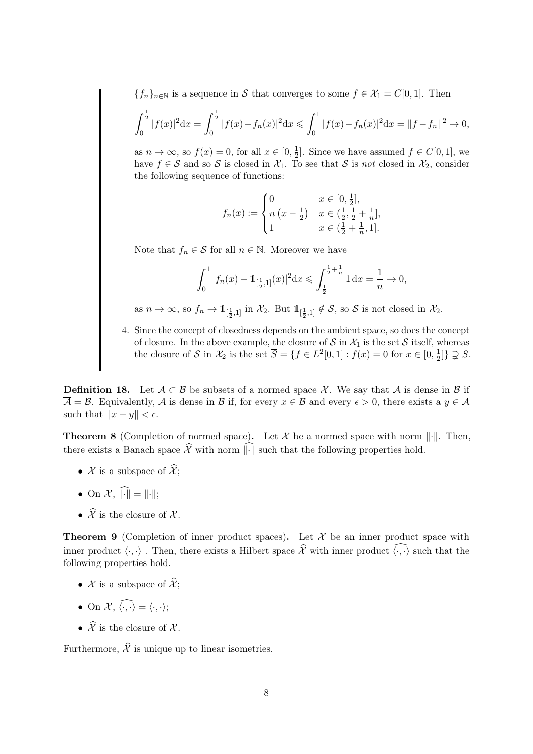${f_n}_{n\in\mathbb{N}}$  is a sequence in S that converges to some  $f \in \mathcal{X}_1 = C[0, 1]$ . Then

$$
\int_0^{\frac{1}{2}} |f(x)|^2 dx = \int_0^{\frac{1}{2}} |f(x) - f_n(x)|^2 dx \le \int_0^1 |f(x) - f_n(x)|^2 dx = ||f - f_n||^2 \to 0,
$$

as  $n \to \infty$ , so  $f(x) = 0$ , for all  $x \in [0, \frac{1}{2}]$  $\frac{1}{2}$ . Since we have assumed  $f \in C[0,1]$ , we have  $f \in S$  and so S is closed in  $\mathcal{X}_1$ . To see that S is not closed in  $\mathcal{X}_2$ , consider the following sequence of functions:

$$
f_n(x) := \begin{cases} 0 & x \in [0, \frac{1}{2}], \\ n(x - \frac{1}{2}) & x \in (\frac{1}{2}, \frac{1}{2} + \frac{1}{n}], \\ 1 & x \in (\frac{1}{2} + \frac{1}{n}, 1]. \end{cases}
$$

Note that  $f_n \in \mathcal{S}$  for all  $n \in \mathbb{N}$ . Moreover we have

$$
\int_0^1 |f_n(x) - 1\!\!1_{[\frac{1}{2},1]}(x)|^2 dx \leqslant \int_{\frac{1}{2}}^{\frac{1}{2} + \frac{1}{n}} 1 dx = \frac{1}{n} \to 0,
$$

as  $n \to \infty$ , so  $f_n \to 1_{[\frac{1}{2},1]}$  in  $\mathcal{X}_2$ . But  $1_{[\frac{1}{2},1]} \notin \mathcal{S}$ , so  $\mathcal{S}$  is not closed in  $\mathcal{X}_2$ .

4. Since the concept of closedness depends on the ambient space, so does the concept of closure. In the above example, the closure of  $S$  in  $\mathcal{X}_1$  is the set  $S$  itself, whereas the closure of S in  $\mathcal{X}_2$  is the set  $\overline{S} = \{f \in L^2[0,1]: f(x) = 0 \text{ for } x \in [0, \frac{1}{2}]\}$  $\frac{1}{2}$ ]  $\supsetneq$  S.

**Definition 18.** Let  $A \subset B$  be subsets of a normed space X. We say that A is dense in B if  $\overline{\mathcal{A}} = \mathcal{B}$ . Equivalently,  $\mathcal{A}$  is dense in  $\mathcal{B}$  if, for every  $x \in \mathcal{B}$  and every  $\epsilon > 0$ , there exists a  $y \in \mathcal{A}$ such that  $||x - y|| < \epsilon$ .

**Theorem 8** (Completion of normed space). Let X be a normed space with norm  $\|\cdot\|$ . Then, there exists a Banach space  $\hat{\mathcal{X}}$  with norm  $\widehat{\|\cdot\|}$  such that the following properties hold.

- $\mathcal X$  is a subspace of  $\widehat{\mathcal X}$ ;
- On  $\mathcal{X}, \widehat{\|\cdot\|} = \|\cdot\|;$
- $\hat{\mathcal{X}}$  is the closure of  $\mathcal{X}$ .

**Theorem 9** (Completion of inner product spaces). Let  $\mathcal{X}$  be an inner product space with inner product  $\langle \cdot, \cdot \rangle$ . Then, there exists a Hilbert space  $\hat{\mathcal{X}}$  with inner product  $\langle \cdot, \cdot \rangle$  such that the following properties hold.

- X is a subspace of  $\widehat{\mathcal{X}}$ ;
- On  $\mathcal{X}, \widehat{\langle \cdot, \cdot \rangle} = \langle \cdot, \cdot \rangle;$
- $\hat{\mathcal{X}}$  is the closure of  $\mathcal{X}$ .

Furthermore,  $\hat{\mathcal{X}}$  is unique up to linear isometries.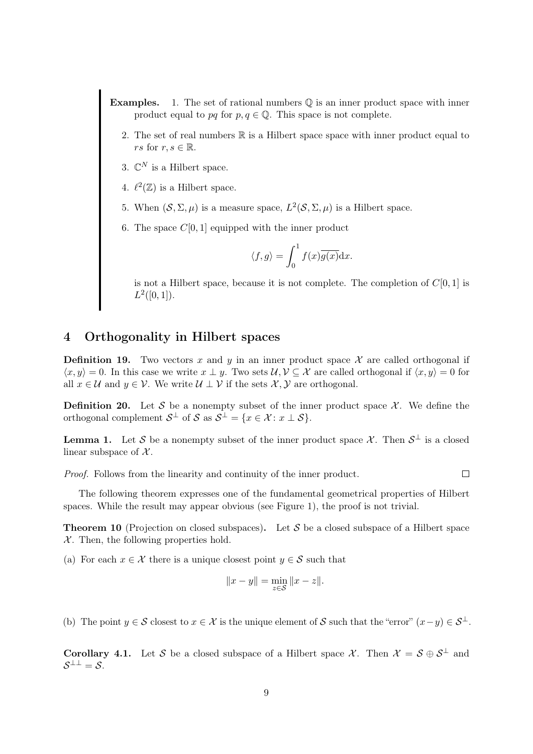- **Examples.** 1. The set of rational numbers  $\mathbb Q$  is an inner product space with inner product equal to pq for  $p, q \in \mathbb{Q}$ . This space is not complete.
	- 2. The set of real numbers  $\mathbb R$  is a Hilbert space space with inner product equal to *rs* for  $r, s \in \mathbb{R}$ .
	- 3.  $\mathbb{C}^N$  is a Hilbert space.
	- 4.  $\ell^2(\mathbb{Z})$  is a Hilbert space.
	- 5. When  $(S, \Sigma, \mu)$  is a measure space,  $L^2(S, \Sigma, \mu)$  is a Hilbert space.
	- 6. The space  $C[0, 1]$  equipped with the inner product

$$
\langle f, g \rangle = \int_0^1 f(x) \overline{g(x)} \mathrm{d}x.
$$

is not a Hilbert space, because it is not complete. The completion of  $C[0, 1]$  is  $L^2([0,1]).$ 

 $\Box$ 

# 4 Orthogonality in Hilbert spaces

**Definition 19.** Two vectors x and y in an inner product space  $\mathcal{X}$  are called orthogonal if  $\langle x, y \rangle = 0$ . In this case we write  $x \perp y$ . Two sets  $\mathcal{U}, \mathcal{V} \subseteq \mathcal{X}$  are called orthogonal if  $\langle x, y \rangle = 0$  for all  $x \in \mathcal{U}$  and  $y \in \mathcal{V}$ . We write  $\mathcal{U} \perp \mathcal{V}$  if the sets  $\mathcal{X}, \mathcal{Y}$  are orthogonal.

**Definition 20.** Let S be a nonempty subset of the inner product space  $\mathcal{X}$ . We define the orthogonal complement  $S^{\perp}$  of S as  $S^{\perp} = \{x \in \mathcal{X} : x \perp S\}.$ 

**Lemma 1.** Let S be a nonempty subset of the inner product space X. Then  $S^{\perp}$  is a closed linear subspace of  $\mathcal{X}$ .

Proof. Follows from the linearity and continuity of the inner product.

The following theorem expresses one of the fundamental geometrical properties of Hilbert spaces. While the result may appear obvious (see Figure 1), the proof is not trivial.

**Theorem 10** (Projection on closed subspaces). Let S be a closed subspace of a Hilbert space  $X$ . Then, the following properties hold.

(a) For each  $x \in \mathcal{X}$  there is a unique closest point  $y \in \mathcal{S}$  such that

$$
||x - y|| = \min_{z \in S} ||x - z||.
$$

(b) The point  $y \in \mathcal{S}$  closest to  $x \in \mathcal{X}$  is the unique element of  $\mathcal{S}$  such that the "error"  $(x-y) \in \mathcal{S}^{\perp}$ .

**Corollary 4.1.** Let S be a closed subspace of a Hilbert space X. Then  $\mathcal{X} = \mathcal{S} \oplus \mathcal{S}^{\perp}$  and  $S^{\perp \perp} = S.$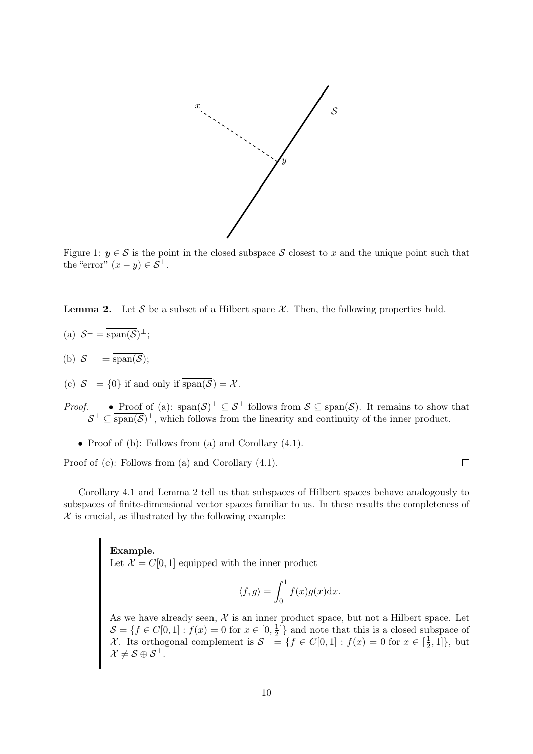

Figure 1:  $y \in S$  is the point in the closed subspace S closest to x and the unique point such that the "error"  $(x - y) \in S^{\perp}$ .

**Lemma 2.** Let S be a subset of a Hilbert space  $\mathcal{X}$ . Then, the following properties hold.

- (a)  $S^{\perp} = \overline{\text{span}(\mathcal{S})^{\perp}};$
- (b)  $S^{\perp \perp} = \overline{\text{span}(\mathcal{S})}$ ;
- (c)  $S^{\perp} = \{0\}$  if and only if  $\overline{\text{span}(\mathcal{S})} = \mathcal{X}$ .
- *Proof.* Proof of (a):  $\overline{\text{span}(\mathcal{S})}^{\perp} \subseteq \mathcal{S}^{\perp}$  follows from  $\mathcal{S} \subseteq \overline{\text{span}(\mathcal{S})}$ . It remains to show that  $S^{\perp} \subseteq \overline{\text{span}(\mathcal{S})^{\perp}}$ , which follows from the linearity and continuity of the inner product.
	- Proof of (b): Follows from (a) and Corollary  $(4.1)$ .

Proof of (c): Follows from (a) and Corollary (4.1).

Corollary 4.1 and Lemma 2 tell us that subspaces of Hilbert spaces behave analogously to subspaces of finite-dimensional vector spaces familiar to us. In these results the completeness of  $X$  is crucial, as illustrated by the following example:

> Example. Let  $\mathcal{X} = C[0,1]$  equipped with the inner product

$$
\langle f, g \rangle = \int_0^1 f(x) \overline{g(x)} dx.
$$

 $\Box$ 

As we have already seen,  $\mathcal X$  is an inner product space, but not a Hilbert space. Let  $\mathcal{S} = \{f \in C[0,1]: f(x) = 0 \text{ for } x \in [0, \frac{1}{2}]$  $\frac{1}{2}$ } and note that this is a closed subspace of X. Its orthogonal complement is  $S^{\perp} = \{f \in C[0,1]: f(x) = 0 \text{ for } x \in \left[\frac{1}{2}\right]$  $\frac{1}{2}, 1]$ , but  $\mathcal{X} \neq \mathcal{S} \oplus \mathcal{S}^{\perp}.$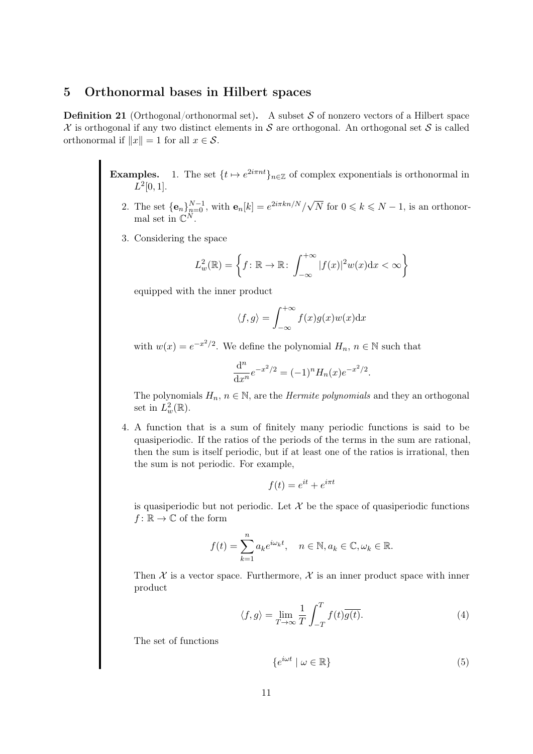## 5 Orthonormal bases in Hilbert spaces

**Definition 21** (Orthogonal/orthonormal set). A subset S of nonzero vectors of a Hilbert space  $\mathcal X$  is orthogonal if any two distinct elements in  $\mathcal S$  are orthogonal. An orthogonal set  $\mathcal S$  is called orthonormal if  $||x|| = 1$  for all  $x \in \mathcal{S}$ .

> **Examples.** 1. The set  $\{t \mapsto e^{2i\pi nt}\}_{n\in\mathbb{Z}}$  of complex exponentials is orthonormal in  $L^2[0,1].$

- 2. The set  $\{\mathbf{e}_n\}_{n=0}^{N-1}$ , with  $\mathbf{e}_n[k] = e^{2i\pi k n/N}/\sqrt{N}$  for  $0 \leq k \leq N-1$ , is an orthonormal set in  $\mathbb{C}^N$ .
- 3. Considering the space

$$
L_w^2(\mathbb{R}) = \left\{ f : \mathbb{R} \to \mathbb{R} : \int_{-\infty}^{+\infty} |f(x)|^2 w(x) dx < \infty \right\}
$$

equipped with the inner product

$$
\langle f, g \rangle = \int_{-\infty}^{+\infty} f(x)g(x)w(x) \mathrm{d}x
$$

with  $w(x) = e^{-x^2/2}$ . We define the polynomial  $H_n$ ,  $n \in \mathbb{N}$  such that

$$
\frac{\mathrm{d}^n}{\mathrm{d}x^n}e^{-x^2/2} = (-1)^n H_n(x)e^{-x^2/2}.
$$

The polynomials  $H_n$ ,  $n \in \mathbb{N}$ , are the *Hermite polynomials* and they an orthogonal set in  $L^2_w(\mathbb{R})$ .

4. A function that is a sum of finitely many periodic functions is said to be quasiperiodic. If the ratios of the periods of the terms in the sum are rational, then the sum is itself periodic, but if at least one of the ratios is irrational, then the sum is not periodic. For example,

$$
f(t) = e^{it} + e^{i\pi t}
$$

is quasiperiodic but not periodic. Let  $\mathcal X$  be the space of quasiperiodic functions  $f: \mathbb{R} \to \mathbb{C}$  of the form

$$
f(t) = \sum_{k=1}^{n} a_k e^{i\omega_k t}, \quad n \in \mathbb{N}, a_k \in \mathbb{C}, \omega_k \in \mathbb{R}.
$$

Then  $\mathcal X$  is a vector space. Furthermore,  $\mathcal X$  is an inner product space with inner product

$$
\langle f, g \rangle = \lim_{T \to \infty} \frac{1}{T} \int_{-T}^{T} f(t) \overline{g(t)}.
$$
 (4)

The set of functions

$$
\{e^{i\omega t} \mid \omega \in \mathbb{R}\}\tag{5}
$$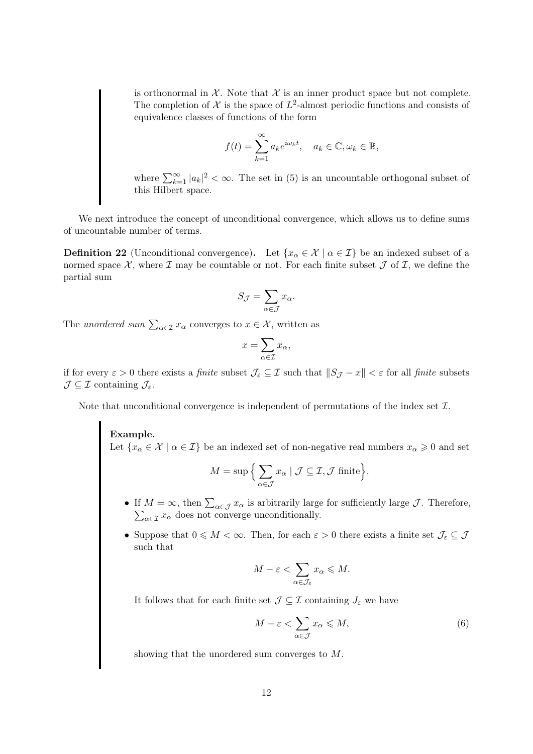is orthonormal in  $\mathcal X$ . Note that  $\mathcal X$  is an inner product space but not complete. The completion of  $\mathcal X$  is the space of  $L^2$ -almost periodic functions and consists of equivalence classes of functions of the form

$$
f(t) = \sum_{k=1}^{\infty} a_k e^{i\omega_k t}, \quad a_k \in \mathbb{C}, \omega_k \in \mathbb{R},
$$

where  $\sum_{k=1}^{\infty} |a_k|^2 < \infty$ . The set in (5) is an uncountable orthogonal subset of this Hilbert space.

We next introduce the concept of unconditional convergence, which allows us to define sums of uncountable number of terms.

**Definition 22** (Unconditional convergence). Let  $\{x_\alpha \in \mathcal{X} \mid \alpha \in \mathcal{I}\}\)$  be an indexed subset of a normed space  $\mathcal{X}$ , where  $\mathcal{I}$  may be countable or not. For each finite subset  $\mathcal{J}$  of  $\mathcal{I}$ , we define the partial sum

$$
S_{\mathcal{J}} = \sum_{\alpha \in \mathcal{J}} x_{\alpha}.
$$

The unordered sum  $\sum_{\alpha \in \mathcal{I}} x_{\alpha}$  converges to  $x \in \mathcal{X}$ , written as

$$
x = \sum_{\alpha \in \mathcal{I}} x_{\alpha},
$$

if for every  $\varepsilon > 0$  there exists a *finite* subset  $\mathcal{J}_{\varepsilon} \subseteq \mathcal{I}$  such that  $||S_{\mathcal{J}} - x|| < \varepsilon$  for all *finite* subsets  $\mathcal{J} \subseteq \mathcal{I}$  containing  $\mathcal{J}_{\varepsilon}$ .

Note that unconditional convergence is independent of permutations of the index set  $\mathcal{I}$ .

Example. Let  $\{x_\alpha \in \mathcal{X} \mid \alpha \in \mathcal{I}\}\$ be an indexed set of non-negative real numbers  $x_\alpha \geqslant 0$  and set

$$
M = \sup \Big\{ \sum_{\alpha \in \mathcal{J}} x_{\alpha} \mid \mathcal{J} \subseteq \mathcal{I}, \mathcal{J} \text{ finite} \Big\}.
$$

- If  $M = \infty$ , then  $\sum_{\alpha \in \mathcal{J}} x_{\alpha}$  is arbitrarily large for sufficiently large  $\mathcal{J}$ . Therefore,  $\sum_{\alpha \in \mathcal{I}} x_{\alpha}$  does not converge unconditionally.
- Suppose that  $0 \leqslant M < \infty$ . Then, for each  $\varepsilon > 0$  there exists a finite set  $\mathcal{J}_{\varepsilon} \subseteq \mathcal{J}$ such that

$$
M - \varepsilon < \sum_{\alpha \in \mathcal{J}_\varepsilon} x_\alpha \leqslant M.
$$

It follows that for each finite set  $\mathcal{J} \subseteq \mathcal{I}$  containing  $J_{\varepsilon}$  we have

$$
M - \varepsilon < \sum_{\alpha \in \mathcal{J}} x_{\alpha} \leqslant M,\tag{6}
$$

showing that the unordered sum converges to M.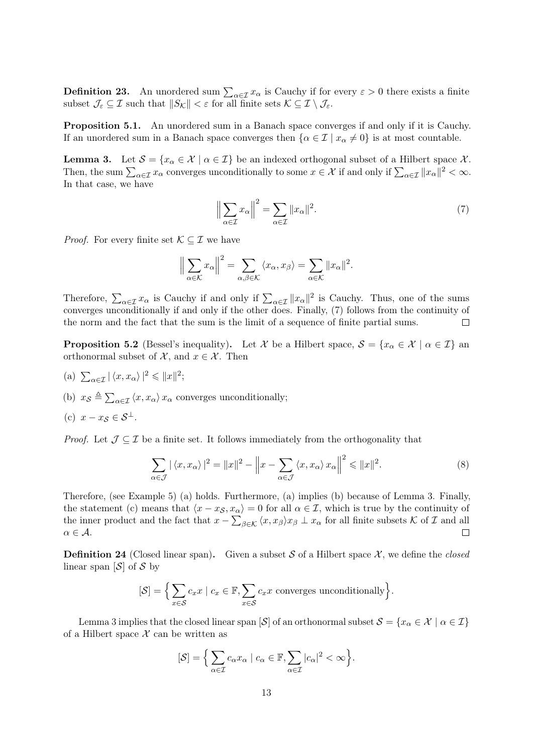**Definition 23.** An unordered sum  $\sum_{\alpha \in \mathcal{I}} x_{\alpha}$  is Cauchy if for every  $\varepsilon > 0$  there exists a finite subset  $\mathcal{J}_{\varepsilon} \subseteq \mathcal{I}$  such that  $||S_{\mathcal{K}}|| < \varepsilon$  for all finite sets  $\mathcal{K} \subseteq \mathcal{I} \setminus \mathcal{J}_{\varepsilon}$ .

Proposition 5.1. An unordered sum in a Banach space converges if and only if it is Cauchy. If an unordered sum in a Banach space converges then  $\{\alpha \in \mathcal{I} \mid x_{\alpha} \neq 0\}$  is at most countable.

**Lemma 3.** Let  $S = \{x_\alpha \in \mathcal{X} \mid \alpha \in \mathcal{I}\}\$ be an indexed orthogonal subset of a Hilbert space  $\mathcal{X}$ . Then, the sum  $\sum_{\alpha \in \mathcal{I}} x_{\alpha}$  converges unconditionally to some  $x \in \mathcal{X}$  if and only if  $\sum_{\alpha \in \mathcal{I}} ||x_{\alpha}||^2 < \infty$ . In that case, we have

$$
\left\| \sum_{\alpha \in \mathcal{I}} x_{\alpha} \right\|^{2} = \sum_{\alpha \in \mathcal{I}} \| x_{\alpha} \|^{2}.
$$
 (7)

*Proof.* For every finite set  $\mathcal{K} \subseteq \mathcal{I}$  we have

$$
\left\|\sum_{\alpha\in\mathcal{K}}x_{\alpha}\right\|^{2}=\sum_{\alpha,\beta\in\mathcal{K}}\left\langle x_{\alpha},x_{\beta}\right\rangle=\sum_{\alpha\in\mathcal{K}}\|x_{\alpha}\|^{2}.
$$

Therefore,  $\sum_{\alpha \in \mathcal{I}} x_{\alpha}$  is Cauchy if and only if  $\sum_{\alpha \in \mathcal{I}} ||x_{\alpha}||^2$  is Cauchy. Thus, one of the sums converges unconditionally if and only if the other does. Finally, (7) follows from the continuity of the norm and the fact that the sum is the limit of a sequence of finite partial sums.  $\Box$ 

**Proposition 5.2** (Bessel's inequality). Let X be a Hilbert space,  $S = \{x_{\alpha} \in \mathcal{X} \mid \alpha \in \mathcal{I}\}\$ an orthonormal subset of  $\mathcal{X}$ , and  $x \in \mathcal{X}$ . Then

- (a)  $\sum_{\alpha \in \mathcal{I}} |\langle x, x_{\alpha} \rangle|^2 \leq \|x\|^2;$
- (b)  $x_{\mathcal{S}} \triangleq \sum_{\alpha \in \mathcal{I}} \langle x, x_{\alpha} \rangle x_{\alpha}$  converges unconditionally;

(c) 
$$
x - x_{\mathcal{S}} \in \mathcal{S}^{\perp}
$$
.

*Proof.* Let  $\mathcal{J} \subseteq \mathcal{I}$  be a finite set. It follows immediately from the orthogonality that

$$
\sum_{\alpha \in \mathcal{J}} |\langle x, x_{\alpha} \rangle|^2 = ||x||^2 - \left\| x - \sum_{\alpha \in \mathcal{J}} \langle x, x_{\alpha} \rangle x_{\alpha} \right\|^2 \le ||x||^2. \tag{8}
$$

Therefore, (see Example 5) (a) holds. Furthermore, (a) implies (b) because of Lemma 3. Finally, the statement (c) means that  $\langle x - x_{\mathcal{S}}, x_{\alpha} \rangle = 0$  for all  $\alpha \in \mathcal{I}$ , which is true by the continuity of the inner product and the fact that  $x - \sum_{\beta \in \mathcal{K}} \langle x, x_{\beta} \rangle x_{\beta} \perp x_{\alpha}$  for all finite subsets K of I and all  $\alpha \in \mathcal{A}$ .  $\Box$ 

**Definition 24** (Closed linear span). Given a subset S of a Hilbert space X, we define the closed linear span  $[\mathcal{S}]$  of  $\mathcal{S}$  by

$$
[\mathcal{S}] = \Big\{ \sum_{x \in \mathcal{S}} c_x x \mid c_x \in \mathbb{F}, \sum_{x \in \mathcal{S}} c_x x \text{ converges unconditionally} \Big\}.
$$

Lemma 3 implies that the closed linear span  $[\mathcal{S}]$  of an orthonormal subset  $\mathcal{S} = \{x_{\alpha} \in \mathcal{X} \mid \alpha \in \mathcal{I}\}\$ of a Hilbert space  $X$  can be written as

$$
[\mathcal{S}] = \Big\{ \sum_{\alpha \in \mathcal{I}} c_{\alpha} x_{\alpha} \mid c_{\alpha} \in \mathbb{F}, \sum_{\alpha \in \mathcal{I}} |c_{\alpha}|^2 < \infty \Big\}.
$$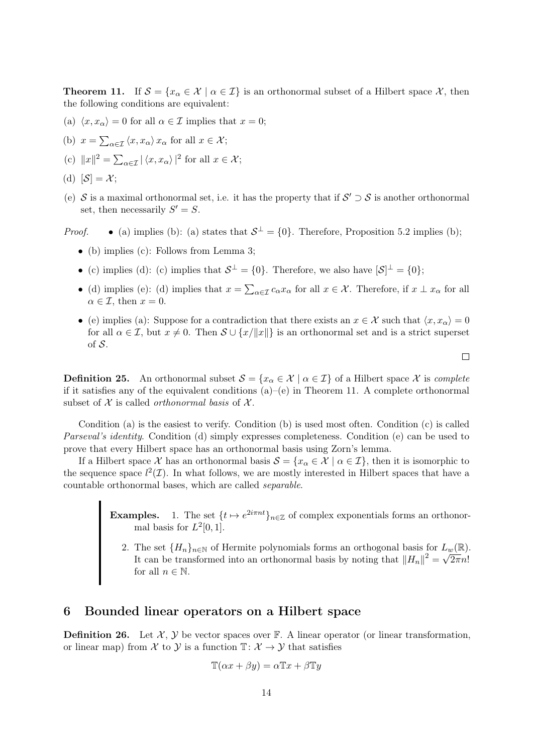**Theorem 11.** If  $S = \{x_\alpha \in \mathcal{X} \mid \alpha \in \mathcal{I}\}\$ is an orthonormal subset of a Hilbert space X, then the following conditions are equivalent:

- (a)  $\langle x, x_\alpha \rangle = 0$  for all  $\alpha \in \mathcal{I}$  implies that  $x = 0$ ;
- (b)  $x = \sum_{\alpha \in \mathcal{I}} \langle x, x_{\alpha} \rangle x_{\alpha}$  for all  $x \in \mathcal{X}$ ;
- (c)  $||x||^2 = \sum_{\alpha \in \mathcal{I}} |\langle x, x_{\alpha} \rangle|^2$  for all  $x \in \mathcal{X}$ ;

(d) 
$$
[\mathcal{S}] = \mathcal{X};
$$

(e) S is a maximal orthonormal set, i.e. it has the property that if  $S' \supset S$  is another orthonormal set, then necessarily  $S' = S$ .

*Proof.* • (a) implies (b): (a) states that  $S^{\perp} = \{0\}$ . Therefore, Proposition 5.2 implies (b);

- (b) implies (c): Follows from Lemma 3;
- (c) implies (d): (c) implies that  $S^{\perp} = \{0\}$ . Therefore, we also have  $|S^{\perp} = \{0\}$ ;
- (d) implies (e): (d) implies that  $x = \sum_{\alpha \in \mathcal{I}} c_{\alpha} x_{\alpha}$  for all  $x \in \mathcal{X}$ . Therefore, if  $x \perp x_{\alpha}$  for all  $\alpha \in \mathcal{I}$ , then  $x = 0$ .
- (e) implies (a): Suppose for a contradiction that there exists an  $x \in \mathcal{X}$  such that  $\langle x, x_\alpha \rangle = 0$ for all  $\alpha \in \mathcal{I}$ , but  $x \neq 0$ . Then  $\mathcal{S} \cup \{x/||x||\}$  is an orthonormal set and is a strict superset of  $S$ .

 $\Box$ 

**Definition 25.** An orthonormal subset  $S = \{x_{\alpha} \in \mathcal{X} \mid \alpha \in \mathcal{I}\}\$  of a Hilbert space X is complete if it satisfies any of the equivalent conditions  $(a)$ –(e) in Theorem 11. A complete orthonormal subset of  $X$  is called *orthonormal basis* of  $X$ .

Condition (a) is the easiest to verify. Condition (b) is used most often. Condition (c) is called Parseval's identity. Condition (d) simply expresses completeness. Condition (e) can be used to prove that every Hilbert space has an orthonormal basis using Zorn's lemma.

If a Hilbert space X has an orthonormal basis  $S = \{x_\alpha \in X \mid \alpha \in \mathcal{I}\}\)$ , then it is isomorphic to the sequence space  $l^2(\mathcal{I})$ . In what follows, we are mostly interested in Hilbert spaces that have a countable orthonormal bases, which are called separable.

- **Examples.** 1. The set  $\{t \mapsto e^{2i\pi nt}\}_{n \in \mathbb{Z}}$  of complex exponentials forms an orthonormal basis for  $L^2[0,1]$ .
	- 2. The set  $\{H_n\}_{n\in\mathbb{N}}$  of Hermite polynomials forms an orthogonal basis for  $L_w(\mathbb{R})$ . It can be transformed into an orthonormal basis by noting that  $||H_n||^2 = \sqrt{2\pi}n!$ for all  $n \in \mathbb{N}$ .

### 6 Bounded linear operators on a Hilbert space

**Definition 26.** Let  $\mathcal{X}, \mathcal{Y}$  be vector spaces over  $\mathbb{F}$ . A linear operator (or linear transformation, or linear map) from X to Y is a function  $\mathbb{T} : \mathcal{X} \to \mathcal{Y}$  that satisfies

$$
\mathbb{T}(\alpha x + \beta y) = \alpha \mathbb{T}x + \beta \mathbb{T}y
$$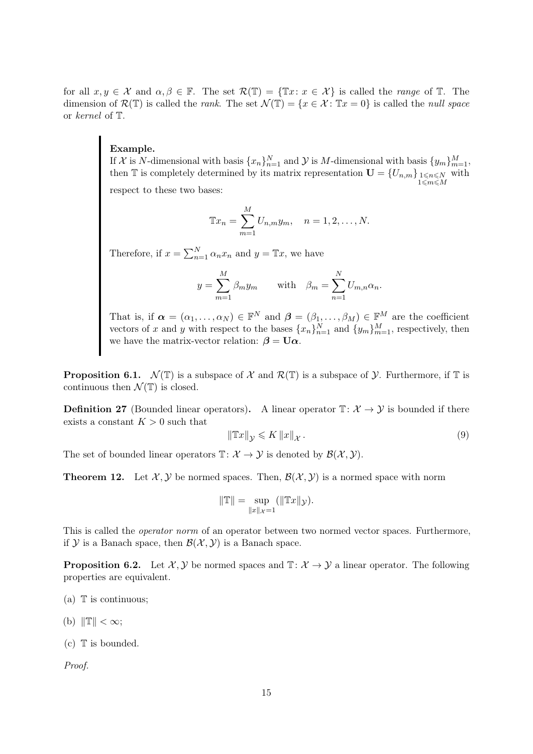for all  $x, y \in \mathcal{X}$  and  $\alpha, \beta \in \mathbb{F}$ . The set  $\mathcal{R}(\mathbb{T}) = {\mathbb{T}x \colon x \in \mathcal{X}}$  is called the *range* of  $\mathbb{T}$ . The dimension of  $\mathcal{R}(\mathbb{T})$  is called the *rank*. The set  $\mathcal{N}(\mathbb{T}) = \{x \in \mathcal{X} : \mathbb{T}x = 0\}$  is called the *null space* or kernel of T.

#### Example.

If X is N-dimensional with basis  $\{x_n\}_{n=1}^N$  and Y is M-dimensional with basis  $\{y_m\}_{m=1}^M$ , then  $\mathbb{T}$  is completely determined by its matrix representation  $\mathbf{U} = \{U_{n,m}\}_{\substack{1 \leq n \leq N \\ 1 \leq m \leq M}}$ with respect to these two bases:

$$
\mathbb{T}x_n = \sum_{m=1}^{M} U_{n,m} y_m, \quad n = 1, 2, ..., N.
$$

Therefore, if  $x = \sum_{n=1}^{N} \alpha_n x_n$  and  $y = \mathbb{T}x$ , we have

$$
y = \sum_{m=1}^{M} \beta_m y_m
$$
 with  $\beta_m = \sum_{n=1}^{N} U_{m,n} \alpha_n$ .

That is, if  $\boldsymbol{\alpha} = (\alpha_1, \dots, \alpha_N) \in \mathbb{F}^N$  and  $\boldsymbol{\beta} = (\beta_1, \dots, \beta_M) \in \mathbb{F}^M$  are the coefficient vectors of x and y with respect to the bases  ${x_n}_{n=1}^N$  and  ${y_m}_{m=1}^M$ , respectively, then we have the matrix-vector relation:  $\beta = U\alpha$ .

**Proposition 6.1.**  $\mathcal{N}(\mathbb{T})$  is a subspace of X and  $\mathcal{R}(\mathbb{T})$  is a subspace of Y. Furthermore, if T is continuous then  $\mathcal{N}(\mathbb{T})$  is closed.

**Definition 27** (Bounded linear operators). A linear operator  $\mathbb{T}$ :  $\mathcal{X} \to \mathcal{Y}$  is bounded if there exists a constant  $K > 0$  such that

$$
\|\mathbb{T}x\|_{\mathcal{Y}} \leqslant K\,\|x\|_{\mathcal{X}}\,. \tag{9}
$$

The set of bounded linear operators  $\mathbb{T} : \mathcal{X} \to \mathcal{Y}$  is denoted by  $\mathcal{B}(\mathcal{X}, \mathcal{Y})$ .

**Theorem 12.** Let  $\mathcal{X}, \mathcal{Y}$  be normed spaces. Then,  $\mathcal{B}(\mathcal{X}, \mathcal{Y})$  is a normed space with norm

$$
\|\mathbb{T}\| = \sup_{\|x\|_{\mathcal{X}}=1} (\|\mathbb{T}x\|_{\mathcal{Y}}).
$$

This is called the operator norm of an operator between two normed vector spaces. Furthermore, if  $Y$  is a Banach space, then  $\mathcal{B}(\mathcal{X}, \mathcal{Y})$  is a Banach space.

**Proposition 6.2.** Let  $\mathcal{X}, \mathcal{Y}$  be normed spaces and  $\mathbb{T}: \mathcal{X} \to \mathcal{Y}$  a linear operator. The following properties are equivalent.

- (a)  $\mathbb T$  is continuous;
- (b)  $\|\mathbb{T}\| < \infty;$
- $(c)$  T is bounded.

Proof.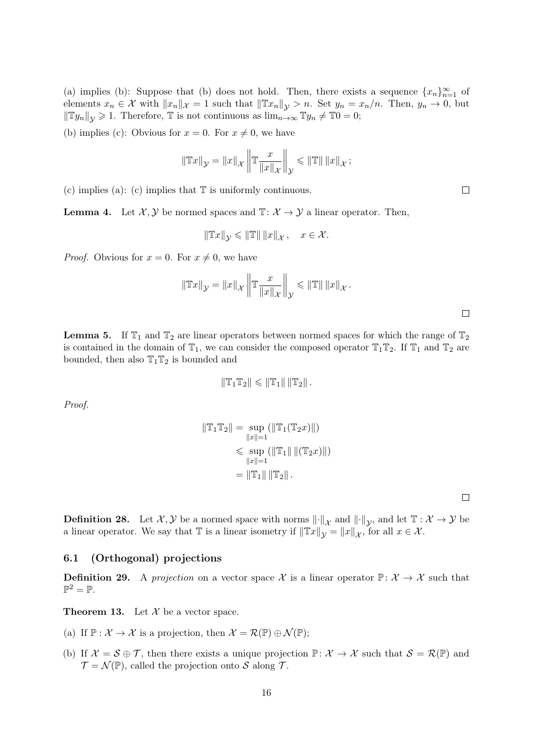(a) implies (b): Suppose that (b) does not hold. Then, there exists a sequence  $\{x_n\}_{n=1}^{\infty}$  of elements  $x_n \in \mathcal{X}$  with  $||x_n||_{\mathcal{X}} = 1$  such that  $||Tx_n||_{\mathcal{Y}} > n$ . Set  $y_n = x_n/n$ . Then,  $y_n \to 0$ , but  $\|\mathbb{T} y_n\|_{\mathcal{V}} \geq 1$ . Therefore,  $\mathbb{T}$  is not continuous as  $\lim_{n\to\infty} \mathbb{T} y_n \neq \mathbb{T} 0=0;$ 

(b) implies (c): Obvious for  $x = 0$ . For  $x \neq 0$ , we have

$$
\|\mathbb{T}x\|_{\mathcal{Y}} = \|x\|_{\mathcal{X}} \left\|\mathbb{T}\frac{x}{\|x\|_{\mathcal{X}}}\right\|_{\mathcal{Y}} \le \|\mathbb{T}\| \|x\|_{\mathcal{X}} ;
$$

(c) implies (a): (c) implies that  $\mathbb T$  is uniformly continuous.

**Lemma 4.** Let  $\mathcal{X}, \mathcal{Y}$  be normed spaces and  $\mathbb{T}: \mathcal{X} \to \mathcal{Y}$  a linear operator. Then,

$$
\|\mathbb{T}x\|_{\mathcal{Y}} \leqslant \|\mathbb{T}\| \|x\|_{\mathcal{X}}, \quad x \in \mathcal{X}.
$$

*Proof.* Obvious for  $x = 0$ . For  $x \neq 0$ , we have

$$
\|\mathbb{T}x\|_{\mathcal{Y}} = \|x\|_{\mathcal{X}} \left\|\mathbb{T}\frac{x}{\|x\|_{\mathcal{X}}}\right\|_{\mathcal{Y}} \le \|\mathbb{T}\| \|x\|_{\mathcal{X}}.
$$

 $\Box$ 

**Lemma 5.** If  $\mathbb{T}_1$  and  $\mathbb{T}_2$  are linear operators between normed spaces for which the range of  $\mathbb{T}_2$ is contained in the domain of  $\mathbb{T}_1$ , we can consider the composed operator  $\mathbb{T}_1 \mathbb{T}_2$ . If  $\mathbb{T}_1$  and  $\mathbb{T}_2$  are bounded, then also  $T_1T_2$  is bounded and

$$
\|T_1T_2\| \leq \|T_1\| \|T_2\|.
$$

Proof.

$$
\|\mathbb{T}_1\mathbb{T}_2\| = \sup_{\|x\|=1} (\|\mathbb{T}_1(\mathbb{T}_2 x)\|)
$$
  
\$\leq\$ sup ( $\|\mathbb{T}_1\| \|(\mathbb{T}_2 x)\|$ )  
\$\leq\$  $\|x\|=1$   
 $= \|\mathbb{T}_1\| \|\mathbb{T}_2\|.$ 

 $\Box$ 

**Definition 28.** Let  $\mathcal{X}, \mathcal{Y}$  be a normed space with norms  $\lVert \cdot \rVert_{\mathcal{X}}$  and  $\lVert \cdot \rVert_{\mathcal{Y}}$ , and let  $\mathbb{T} : \mathcal{X} \to \mathcal{Y}$  be a linear operator. We say that  $\mathbb T$  is a linear isometry if  $\|\mathbb Tx\|_{\mathcal Y} = \|x\|_{\mathcal X}$ , for all  $x \in \mathcal X$ .

#### 6.1 (Orthogonal) projections

**Definition 29.** A projection on a vector space X is a linear operator  $\mathbb{P} \colon \mathcal{X} \to \mathcal{X}$  such that  $\mathbb{P}^2 = \mathbb{P}.$ 

**Theorem 13.** Let  $\mathcal{X}$  be a vector space.

- (a) If  $\mathbb{P}: \mathcal{X} \to \mathcal{X}$  is a projection, then  $\mathcal{X} = \mathcal{R}(\mathbb{P}) \oplus \mathcal{N}(\mathbb{P})$ ;
- (b) If  $\mathcal{X} = \mathcal{S} \oplus \mathcal{T}$ , then there exists a unique projection  $\mathbb{P}: \mathcal{X} \to \mathcal{X}$  such that  $\mathcal{S} = \mathcal{R}(\mathbb{P})$  and  $\mathcal{T} = \mathcal{N}(\mathbb{P})$ , called the projection onto S along T.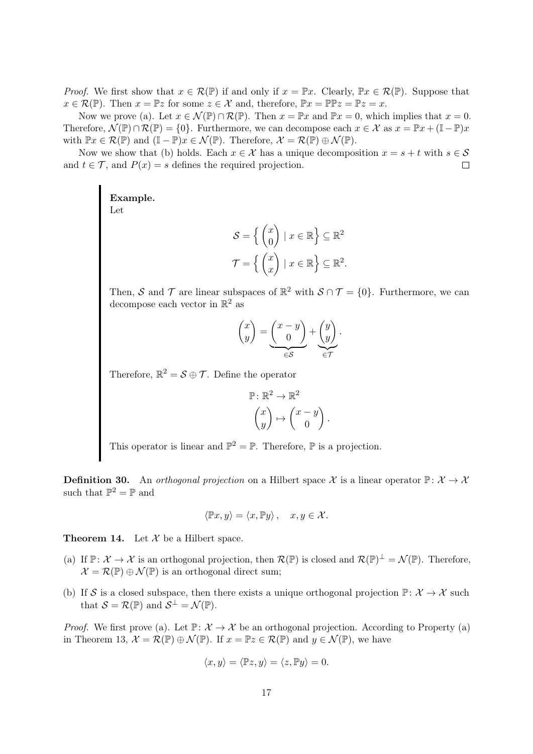*Proof.* We first show that  $x \in \mathcal{R}(\mathbb{P})$  if and only if  $x = \mathbb{P}x$ . Clearly,  $\mathbb{P}x \in \mathcal{R}(\mathbb{P})$ . Suppose that  $x \in \mathcal{R}(\mathbb{P})$ . Then  $x = \mathbb{P}z$  for some  $z \in \mathcal{X}$  and, therefore,  $\mathbb{P}x = \mathbb{P}\mathbb{P}z = \mathbb{P}z = x$ .

Now we prove (a). Let  $x \in \mathcal{N}(\mathbb{P}) \cap \mathcal{R}(\mathbb{P})$ . Then  $x = \mathbb{P}x$  and  $\mathbb{P}x = 0$ , which implies that  $x = 0$ . Therefore,  $\mathcal{N}(\mathbb{P}) \cap \mathcal{R}(\mathbb{P}) = \{0\}$ . Furthermore, we can decompose each  $x \in \mathcal{X}$  as  $x = \mathbb{P}x + (\mathbb{I} - \mathbb{P})x$ with  $\mathbb{P}x \in \mathcal{R}(\mathbb{P})$  and  $(\mathbb{I} - \mathbb{P})x \in \mathcal{N}(\mathbb{P})$ . Therefore,  $\mathcal{X} = \mathcal{R}(\mathbb{P}) \oplus \mathcal{N}(\mathbb{P})$ .

Now we show that (b) holds. Each  $x \in \mathcal{X}$  has a unique decomposition  $x = s + t$  with  $s \in \mathcal{S}$ and  $t \in \mathcal{T}$ , and  $P(x) = s$  defines the required projection.  $\Box$ 

> Example. Let

$$
S = \left\{ \begin{pmatrix} x \\ 0 \end{pmatrix} \mid x \in \mathbb{R} \right\} \subseteq \mathbb{R}^2
$$

$$
\mathcal{T} = \left\{ \begin{pmatrix} x \\ x \end{pmatrix} \mid x \in \mathbb{R} \right\} \subseteq \mathbb{R}^2.
$$

Then, S and T are linear subspaces of  $\mathbb{R}^2$  with  $S \cap T = \{0\}$ . Furthermore, we can decompose each vector in  $\mathbb{R}^2$  as

$$
\begin{pmatrix} x \\ y \end{pmatrix} = \underbrace{\begin{pmatrix} x - y \\ 0 \end{pmatrix}}_{\in \mathcal{S}} + \underbrace{\begin{pmatrix} y \\ y \end{pmatrix}}_{\in \mathcal{T}}.
$$

Therefore,  $\mathbb{R}^2 = \mathcal{S} \oplus \mathcal{T}$ . Define the operator

$$
\mathbb{P}: \mathbb{R}^2 \to \mathbb{R}^2
$$

$$
\begin{pmatrix} x \\ y \end{pmatrix} \mapsto \begin{pmatrix} x - y \\ 0 \end{pmatrix}.
$$

This operator is linear and  $\mathbb{P}^2 = \mathbb{P}$ . Therefore,  $\mathbb P$  is a projection.

**Definition 30.** An orthogonal projection on a Hilbert space X is a linear operator  $\mathbb{P} \colon \mathcal{X} \to \mathcal{X}$ such that  $\mathbb{P}^2 = \mathbb{P}$  and

$$
\langle \mathbb{P}x, y \rangle = \langle x, \mathbb{P}y \rangle, \quad x, y \in \mathcal{X}.
$$

**Theorem 14.** Let  $\mathcal X$  be a Hilbert space.

- (a) If  $\mathbb{P} \colon \mathcal{X} \to \mathcal{X}$  is an orthogonal projection, then  $\mathcal{R}(\mathbb{P})$  is closed and  $\mathcal{R}(\mathbb{P})^{\perp} = \mathcal{N}(\mathbb{P})$ . Therefore,  $\mathcal{X} = \mathcal{R}(\mathbb{P}) \oplus \mathcal{N}(\mathbb{P})$  is an orthogonal direct sum;
- (b) If S is a closed subspace, then there exists a unique orthogonal projection  $\mathbb{P} \colon \mathcal{X} \to \mathcal{X}$  such that  $\mathcal{S} = \mathcal{R}(\mathbb{P})$  and  $\mathcal{S}^{\perp} = \mathcal{N}(\mathbb{P})$ .

*Proof.* We first prove (a). Let  $\mathbb{P} \colon \mathcal{X} \to \mathcal{X}$  be an orthogonal projection. According to Property (a) in Theorem 13,  $\mathcal{X} = \mathcal{R}(\mathbb{P}) \oplus \mathcal{N}(\mathbb{P})$ . If  $x = \mathbb{P}z \in \mathcal{R}(\mathbb{P})$  and  $y \in \mathcal{N}(\mathbb{P})$ , we have

$$
\langle x, y \rangle = \langle \mathbb{P}z, y \rangle = \langle z, \mathbb{P}y \rangle = 0.
$$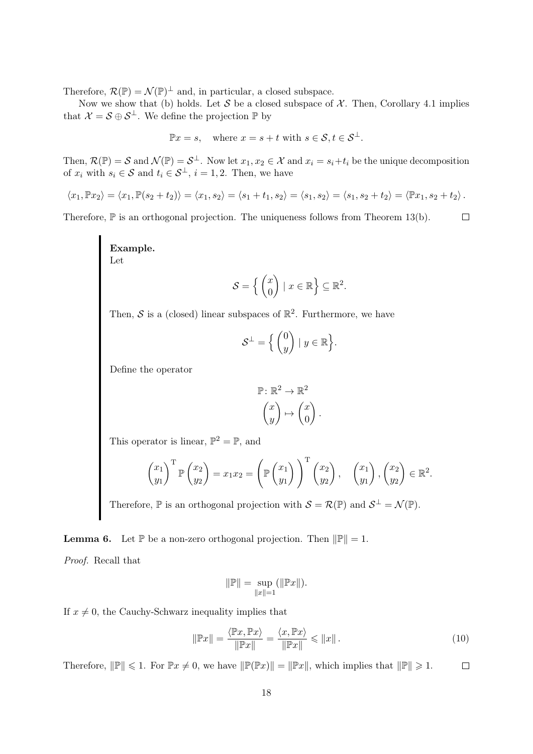Therefore,  $\mathcal{R}(\mathbb{P}) = \mathcal{N}(\mathbb{P})^{\perp}$  and, in particular, a closed subspace.

Now we show that (b) holds. Let S be a closed subspace of X. Then, Corollary 4.1 implies that  $\mathcal{X} = \mathcal{S} \oplus \mathcal{S}^{\perp}$ . We define the projection  $\mathbb{P}$  by

$$
\mathbb{P}x = s, \quad \text{where } x = s + t \text{ with } s \in \mathcal{S}, t \in \mathcal{S}^{\perp}.
$$

Then,  $\mathcal{R}(\mathbb{P}) = \mathcal{S}$  and  $\mathcal{N}(\mathbb{P}) = \mathcal{S}^{\perp}$ . Now let  $x_1, x_2 \in \mathcal{X}$  and  $x_i = s_i + t_i$  be the unique decomposition of  $x_i$  with  $s_i \in S$  and  $t_i \in S^{\perp}$ ,  $i = 1, 2$ . Then, we have

$$
\langle x_1, \mathbb{P} x_2 \rangle = \langle x_1, \mathbb{P}(s_2 + t_2) \rangle = \langle x_1, s_2 \rangle = \langle s_1 + t_1, s_2 \rangle = \langle s_1, s_2 \rangle = \langle s_1, s_2 + t_2 \rangle = \langle \mathbb{P} x_1, s_2 + t_2 \rangle.
$$

Therefore,  $\mathbb P$  is an orthogonal projection. The uniqueness follows from Theorem 13(b).  $\Box$ 

> Example. Let

$$
\mathcal{S} = \left\{ \begin{pmatrix} x \\ 0 \end{pmatrix} \mid x \in \mathbb{R} \right\} \subseteq \mathbb{R}^2.
$$

Then, S is a (closed) linear subspaces of  $\mathbb{R}^2$ . Furthermore, we have

$$
\mathcal{S}^{\perp} = \Big\{ \begin{pmatrix} 0 \\ y \end{pmatrix} \mid y \in \mathbb{R} \Big\}.
$$

Define the operator

$$
\mathbb{P}: \mathbb{R}^2 \to \mathbb{R}^2
$$

$$
\begin{pmatrix} x \\ y \end{pmatrix} \mapsto \begin{pmatrix} x \\ 0 \end{pmatrix}.
$$

This operator is linear,  $\mathbb{P}^2 = \mathbb{P}$ , and

$$
\begin{pmatrix} x_1 \\ y_1 \end{pmatrix}^{\mathrm{T}} \mathbb{P} \begin{pmatrix} x_2 \\ y_2 \end{pmatrix} = x_1 x_2 = \left( \mathbb{P} \begin{pmatrix} x_1 \\ y_1 \end{pmatrix} \right)^{\mathrm{T}} \begin{pmatrix} x_2 \\ y_2 \end{pmatrix}, \quad \begin{pmatrix} x_1 \\ y_1 \end{pmatrix}, \begin{pmatrix} x_2 \\ y_2 \end{pmatrix} \in \mathbb{R}^2.
$$

Therefore,  $\mathbb P$  is an orthogonal projection with  $\mathcal S = \mathcal R(\mathbb P)$  and  $\mathcal S^{\perp} = \mathcal N(\mathbb P)$ .

**Lemma 6.** Let  $\mathbb{P}$  be a non-zero orthogonal projection. Then  $\|\mathbb{P}\|=1$ .

Proof. Recall that

$$
\|\mathbb{P}\| = \sup_{\|x\|=1} (\|\mathbb{P}x\|).
$$

If  $x \neq 0$ , the Cauchy-Schwarz inequality implies that

$$
\|\mathbb{P}x\| = \frac{\langle \mathbb{P}x, \mathbb{P}x \rangle}{\|\mathbb{P}x\|} = \frac{\langle x, \mathbb{P}x \rangle}{\|\mathbb{P}x\|} \le \|x\|.
$$
 (10)

Therefore,  $\|\mathbb{P}\| \leq 1$ . For  $\mathbb{P}x \neq 0$ , we have  $\|\mathbb{P}(\mathbb{P}x)\| = \|\mathbb{P}x\|$ , which implies that  $\|\mathbb{P}\| \geq 1$ .  $\Box$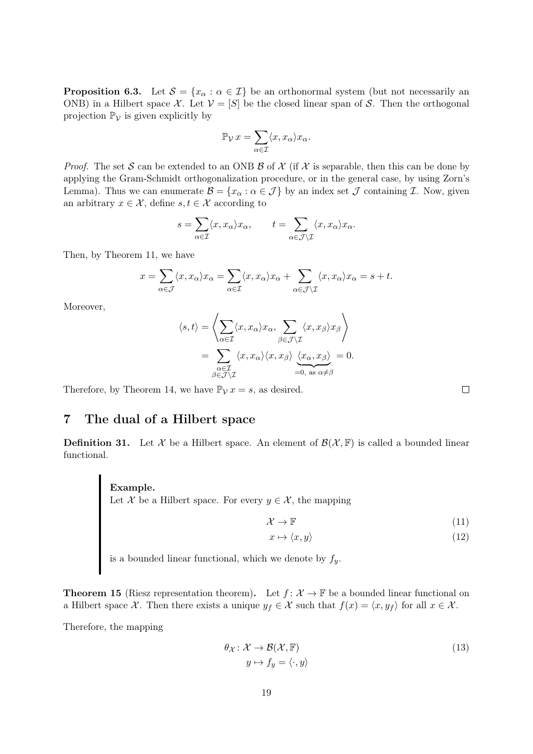**Proposition 6.3.** Let  $S = \{x_\alpha : \alpha \in \mathcal{I}\}\$ be an orthonormal system (but not necessarily an ONB) in a Hilbert space X. Let  $V = [S]$  be the closed linear span of S. Then the orthogonal projection  $\mathbb{P}_{\mathcal{V}}$  is given explicitly by

$$
\mathbb{P}_{\mathcal{V}}\,x = \sum_{\alpha \in \mathcal{I}} \langle x, x_{\alpha} \rangle x_{\alpha}.
$$

*Proof.* The set S can be extended to an ONB  $\beta$  of  $\chi$  (if  $\chi$  is separable, then this can be done by applying the Gram-Schmidt orthogonalization procedure, or in the general case, by using Zorn's Lemma). Thus we can enumerate  $\mathcal{B} = \{x_\alpha : \alpha \in \mathcal{J}\}\$  by an index set  $\mathcal J$  containing  $\mathcal I$ . Now, given an arbitrary  $x \in \mathcal{X}$ , define  $s, t \in \mathcal{X}$  according to

$$
s = \sum_{\alpha \in \mathcal{I}} \langle x, x_{\alpha} \rangle x_{\alpha}, \qquad t = \sum_{\alpha \in \mathcal{J} \setminus \mathcal{I}} \langle x, x_{\alpha} \rangle x_{\alpha}.
$$

Then, by Theorem 11, we have

$$
x = \sum_{\alpha \in \mathcal{J}} \langle x, x_{\alpha} \rangle x_{\alpha} = \sum_{\alpha \in \mathcal{I}} \langle x, x_{\alpha} \rangle x_{\alpha} + \sum_{\alpha \in \mathcal{J} \setminus \mathcal{I}} \langle x, x_{\alpha} \rangle x_{\alpha} = s + t.
$$

Moreover,

$$
\langle s, t \rangle = \left\langle \sum_{\alpha \in \mathcal{I}} \langle x, x_{\alpha} \rangle x_{\alpha}, \sum_{\beta \in \mathcal{J} \setminus \mathcal{I}} \langle x, x_{\beta} \rangle x_{\beta} \right\rangle
$$
  
= 
$$
\sum_{\substack{\alpha \in \mathcal{I} \\ \beta \in \mathcal{J} \setminus \mathcal{I}}} \langle x, x_{\alpha} \rangle \langle x, x_{\beta} \rangle \underbrace{\langle x_{\alpha}, x_{\beta} \rangle}_{=0, \text{ as } \alpha \neq \beta} = 0.
$$

Therefore, by Theorem 14, we have  $\mathbb{P}_{\mathcal{V}} x = s$ , as desired.

# 7 The dual of a Hilbert space

**Definition 31.** Let X be a Hilbert space. An element of  $\mathcal{B}(\mathcal{X}, \mathbb{F})$  is called a bounded linear functional.

#### Example.

Let X be a Hilbert space. For every  $y \in \mathcal{X}$ , the mapping

$$
\mathcal{X} \to \mathbb{F} \tag{11}
$$

 $\lambda$ 

$$
x \mapsto \langle x, y \rangle \tag{12}
$$

is a bounded linear functional, which we denote by  $f_y$ .

**Theorem 15** (Riesz representation theorem). Let  $f: \mathcal{X} \to \mathbb{F}$  be a bounded linear functional on a Hilbert space X. Then there exists a unique  $y_f \in \mathcal{X}$  such that  $f(x) = \langle x, y_f \rangle$  for all  $x \in \mathcal{X}$ .

Therefore, the mapping

$$
\theta_{\mathcal{X}}: \mathcal{X} \to \mathcal{B}(\mathcal{X}, \mathbb{F})
$$
  

$$
y \mapsto f_y = \langle \cdot, y \rangle
$$
 (13)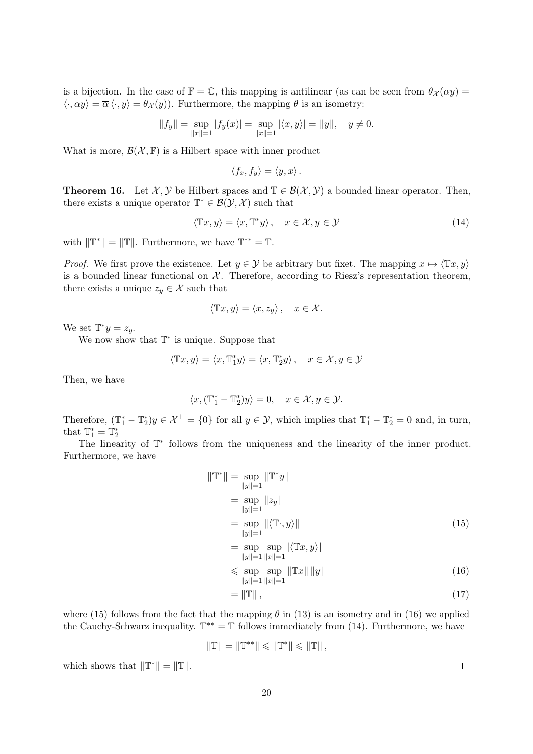is a bijection. In the case of  $\mathbb{F} = \mathbb{C}$ , this mapping is antilinear (as can be seen from  $\theta_{\mathcal{X}}(\alpha y) =$  $\langle \cdot, \alpha y \rangle = \overline{\alpha} \langle \cdot, y \rangle = \theta \chi(y)$ . Furthermore, the mapping  $\theta$  is an isometry:

$$
||f_y|| = \sup_{||x||=1} |f_y(x)| = \sup_{||x||=1} |\langle x, y \rangle| = ||y||, \quad y \neq 0.
$$

What is more,  $\mathcal{B}(\mathcal{X}, \mathbb{F})$  is a Hilbert space with inner product

$$
\langle f_x, f_y \rangle = \langle y, x \rangle.
$$

**Theorem 16.** Let  $\mathcal{X}, \mathcal{Y}$  be Hilbert spaces and  $\mathbb{T} \in \mathcal{B}(\mathcal{X}, \mathcal{Y})$  a bounded linear operator. Then, there exists a unique operator  $\mathbb{T}^* \in \mathcal{B}(\mathcal{Y}, \mathcal{X})$  such that

$$
\langle \mathbb{T}x, y \rangle = \langle x, \mathbb{T}^*y \rangle, \quad x \in \mathcal{X}, y \in \mathcal{Y} \tag{14}
$$

with  $\|\mathbb{T}^*\| = \|\mathbb{T}\|$ . Furthermore, we have  $\mathbb{T}^{**} = \mathbb{T}$ .

*Proof.* We first prove the existence. Let  $y \in \mathcal{Y}$  be arbitrary but fixet. The mapping  $x \mapsto \langle Tx, y \rangle$ is a bounded linear functional on  $X$ . Therefore, according to Riesz's representation theorem, there exists a unique  $z_y \in \mathcal{X}$  such that

$$
\langle \mathbb{T}x, y \rangle = \langle x, z_y \rangle, \quad x \in \mathcal{X}.
$$

We set  $\mathbb{T}^*y = z_y$ .

We now show that  $\mathbb{T}^*$  is unique. Suppose that

$$
\langle \mathbb{T}x, y \rangle = \langle x, \mathbb{T}_1^* y \rangle = \langle x, \mathbb{T}_2^* y \rangle, \quad x \in \mathcal{X}, y \in \mathcal{Y}
$$

Then, we have

$$
\langle x, (\mathbb{T}_1^* - \mathbb{T}_2^*)y \rangle = 0, \quad x \in \mathcal{X}, y \in \mathcal{Y}.
$$

Therefore,  $(\mathbb{T}_1^* - \mathbb{T}_2^*)y \in \mathcal{X}^\perp = \{0\}$  for all  $y \in \mathcal{Y}$ , which implies that  $\mathbb{T}_1^* - \mathbb{T}_2^* = 0$  and, in turn, that  $\mathbb{T}_1^* = \mathbb{T}_2^*$ 

The linearity of  $\mathbb{T}^*$  follows from the uniqueness and the linearity of the inner product. Furthermore, we have

$$
\|\mathbb{T}^*\| = \sup_{\|y\|=1} \|\mathbb{T}^* y\|
$$
  
\n
$$
= \sup_{\|y\|=1} \|z_y\|
$$
  
\n
$$
= \sup_{\|y\|=1} \| \langle \mathbb{T} \cdot, y \rangle \|
$$
  
\n
$$
= \sup_{\|y\|=1} \sup_{\|x\|=1} |\langle \mathbb{T} x, y \rangle|
$$
  
\n
$$
\leq \sup_{\|y\|=1} \sup_{\|x\|=1} \|\mathbb{T} x\| \|y\|
$$
\n(16)

$$
= \left\| \mathbb{T} \right\|, \tag{17}
$$

where (15) follows from the fact that the mapping  $\theta$  in (13) is an isometry and in (16) we applied the Cauchy-Schwarz inequality.  $\mathbb{T}^{**} = \mathbb{T}$  follows immediately from (14). Furthermore, we have

$$
\|\mathbb{T}\|=\|\mathbb{T}^{**}\|\leqslant\|\mathbb{T}^*\|\leqslant\|\mathbb{T}\| \,,
$$

which shows that  $\|\mathbb{T}^*\| = \|\mathbb{T}\|.$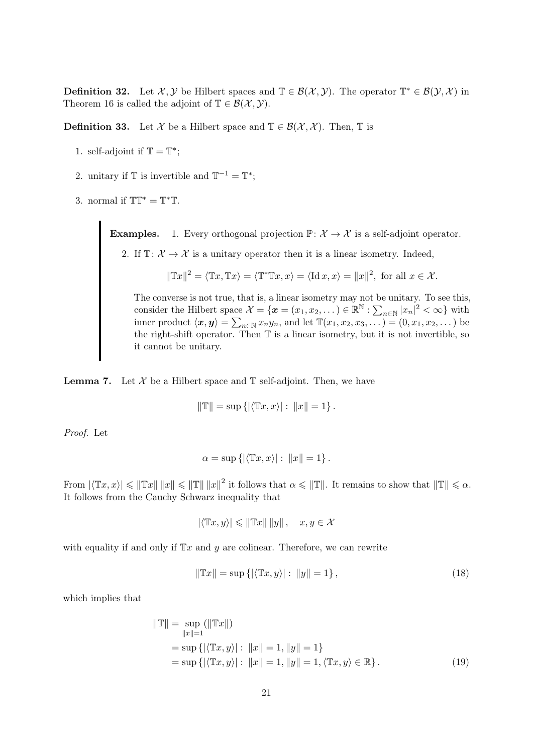**Definition 32.** Let  $\mathcal{X}, \mathcal{Y}$  be Hilbert spaces and  $\mathbb{T} \in \mathcal{B}(\mathcal{X}, \mathcal{Y})$ . The operator  $\mathbb{T}^* \in \mathcal{B}(\mathcal{Y}, \mathcal{X})$  in Theorem 16 is called the adjoint of  $\mathbb{T} \in \mathcal{B}(\mathcal{X}, \mathcal{Y})$ .

**Definition 33.** Let X be a Hilbert space and  $\mathbb{T} \in \mathcal{B}(\mathcal{X}, \mathcal{X})$ . Then,  $\mathbb{T}$  is

- 1. self-adjoint if  $\mathbb{T} = \mathbb{T}^*$ ;
- 2. unitary if  $\mathbb{T}$  is invertible and  $\mathbb{T}^{-1} = \mathbb{T}^*$ ;
- 3. normal if  $TT^* = T^*T$ .

**Examples.** 1. Every orthogonal projection  $\mathbb{P} \colon \mathcal{X} \to \mathcal{X}$  is a self-adjoint operator.

2. If  $\mathbb{T} \colon \mathcal{X} \to \mathcal{X}$  is a unitary operator then it is a linear isometry. Indeed,

 $\|\mathbb{T}x\|^2 = \langle \mathbb{T}x, \mathbb{T}x \rangle = \langle \mathbb{T}^* \mathbb{T}x, x \rangle = \langle \mathrm{Id} \, x, x \rangle = \|x\|^2$ , for all  $x \in \mathcal{X}$ .

The converse is not true, that is, a linear isometry may not be unitary. To see this, consider the Hilbert space  $\mathcal{X} = \{ \boldsymbol{x} = (x_1, x_2, \dots) \in \mathbb{R}^{\mathbb{N}} : \sum_{n \in \mathbb{N}} |x_n|^2 < \infty \}$  with inner product  $\langle x, y \rangle = \sum_{n \in \mathbb{N}} x_n y_n$ , and let  $\mathbb{T}(x_1, x_2, x_3, ...) = (0, x_1, x_2, ...)$  be the right-shift operator. Then T is a linear isometry, but it is not invertible, so it cannot be unitary.

**Lemma 7.** Let  $\mathcal{X}$  be a Hilbert space and  $\mathbb{T}$  self-adjoint. Then, we have

$$
\|\mathbb{T}\| = \sup \{ |\langle \mathbb{T}x, x \rangle| : \|x\| = 1 \}.
$$

Proof. Let

$$
\alpha = \sup \left\{ \left| \langle \mathbb{T}x, x \rangle \right| : \|x\| = 1 \right\}.
$$

From  $|\langle \mathbb{T}x, x \rangle| \leq \| \mathbb{T}x \| \|x\| \leq \| \mathbb{T} \| \|x\|^2$  it follows that  $\alpha \leq \| \mathbb{T} \|$ . It remains to show that  $\| \mathbb{T} \| \leq \alpha$ . It follows from the Cauchy Schwarz inequality that

$$
|\langle \mathbb{T}x, y \rangle| \leq \|\mathbb{T}x\| \|y\|, \quad x, y \in \mathcal{X}
$$

with equality if and only if  $\mathbb{T}x$  and y are colinear. Therefore, we can rewrite

$$
\|\mathbb{T}x\| = \sup\left\{ |\langle \mathbb{T}x, y \rangle| : \|y\| = 1 \right\},\tag{18}
$$

which implies that

$$
\|\mathbb{T}\| = \sup_{\|x\|=1} (\|\mathbb{T}x\|)
$$
  
= sup {|\langle \mathbb{T}x, y \rangle| : \|x\| = 1, \|y\| = 1}  
= sup {|\langle \mathbb{T}x, y \rangle| : \|x\| = 1, \|y\| = 1, \langle \mathbb{T}x, y \rangle \in \mathbb{R}}. (19)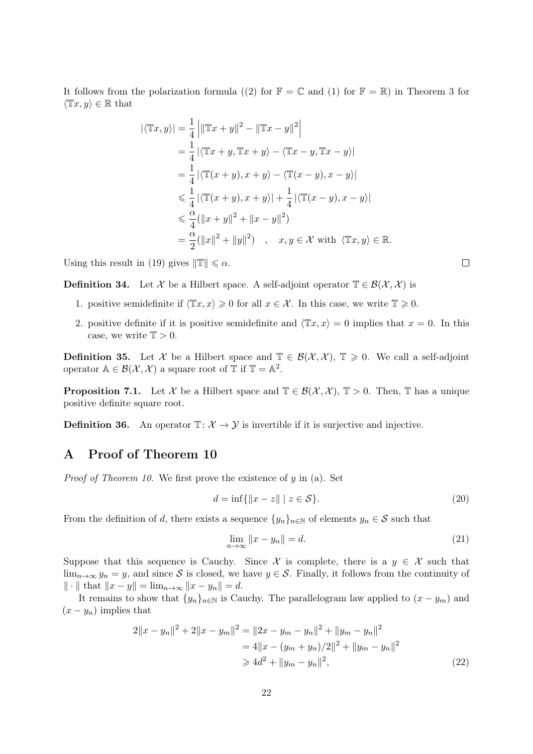It follows from the polarization formula ((2) for  $\mathbb{F} = \mathbb{C}$  and (1) for  $\mathbb{F} = \mathbb{R}$ ) in Theorem 3 for  $\langle \mathbb{T}x, y \rangle \in \mathbb{R}$  that

$$
|\langle \mathbb{T}x, y \rangle| = \frac{1}{4} \left| \|\mathbb{T}x + y\|^2 - \|\mathbb{T}x - y\|^2 \right|
$$
  
\n
$$
= \frac{1}{4} |\langle \mathbb{T}x + y, \mathbb{T}x + y \rangle - \langle \mathbb{T}x - y, \mathbb{T}x - y \rangle|
$$
  
\n
$$
= \frac{1}{4} |\langle \mathbb{T}(x + y), x + y \rangle - \langle \mathbb{T}(x - y), x - y \rangle|
$$
  
\n
$$
\leq \frac{1}{4} |\langle \mathbb{T}(x + y), x + y \rangle| + \frac{1}{4} |\langle \mathbb{T}(x - y), x - y \rangle|
$$
  
\n
$$
\leq \frac{\alpha}{4} (\|x + y\|^2 + \|x - y\|^2)
$$
  
\n
$$
= \frac{\alpha}{2} (\|x\|^2 + \|y\|^2) \quad , \quad x, y \in \mathcal{X} \text{ with } \langle \mathbb{T}x, y \rangle \in \mathbb{R}.
$$

Using this result in (19) gives  $\|\mathbb{T}\| \leq \alpha$ .

**Definition 34.** Let X be a Hilbert space. A self-adjoint operator  $\mathbb{T} \in \mathcal{B}(\mathcal{X}, \mathcal{X})$  is

- 1. positive semidefinite if  $\langle \mathbb{T}x, x \rangle \geq 0$  for all  $x \in \mathcal{X}$ . In this case, we write  $\mathbb{T} \geq 0$ .
- 2. positive definite if it is positive semidefinite and  $\langle Tx, x \rangle = 0$  implies that  $x = 0$ . In this case, we write  $\mathbb{T} > 0$ .

**Definition 35.** Let X be a Hilbert space and  $\mathbb{T} \in \mathcal{B}(\mathcal{X}, \mathcal{X})$ ,  $\mathbb{T} \geq 0$ . We call a self-adjoint operator  $A \in \mathcal{B}(\mathcal{X}, \mathcal{X})$  a square root of  $\mathbb{T}$  if  $\mathbb{T} = A^2$ .

**Proposition 7.1.** Let X be a Hilbert space and  $\mathbb{T} \in \mathcal{B}(\mathcal{X}, \mathcal{X}), \mathbb{T} > 0$ . Then, T has a unique positive definite square root.

**Definition 36.** An operator  $\mathbb{T} : \mathcal{X} \to \mathcal{Y}$  is invertible if it is surjective and injective.

# A Proof of Theorem 10

*Proof of Theorem 10.* We first prove the existence of  $y$  in (a). Set

$$
d = \inf\{\|x - z\| \mid z \in \mathcal{S}\}.\tag{20}
$$

From the definition of d, there exists a sequence  $\{y_n\}_{n\in\mathbb{N}}$  of elements  $y_n \in \mathcal{S}$  such that

$$
\lim_{n \to \infty} ||x - y_n|| = d. \tag{21}
$$

Suppose that this sequence is Cauchy. Since X is complete, there is a  $y \in \mathcal{X}$  such that  $\lim_{n\to\infty} y_n = y$ , and since S is closed, we have  $y \in S$ . Finally, it follows from the continuity of  $\|\cdot\|$  that  $\|x - y\| = \lim_{n \to \infty} \|x - y_n\| = d.$ 

It remains to show that  $\{y_n\}_{n\in\mathbb{N}}$  is Cauchy. The parallelogram law applied to  $(x - y_m)$  and  $(x - y_n)$  implies that

$$
2||x - y_n||^2 + 2||x - y_m||^2 = ||2x - y_m - y_n||^2 + ||y_m - y_n||^2
$$
  
= 4||x - (y\_m + y\_n)/2||^2 + ||y\_m - y\_n||^2  

$$
\ge 4d^2 + ||y_m - y_n||^2,
$$
 (22)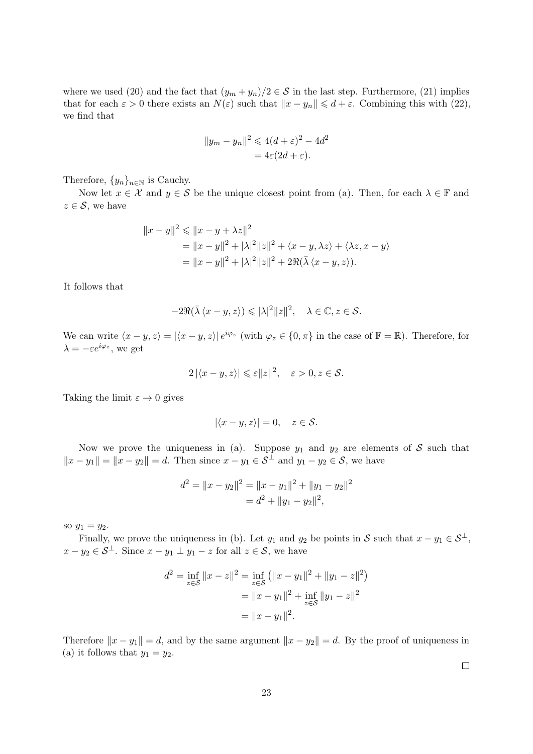where we used (20) and the fact that  $(y_m + y_n)/2 \in S$  in the last step. Furthermore, (21) implies that for each  $\varepsilon > 0$  there exists an  $N(\varepsilon)$  such that  $||x - y_n|| \leq d + \varepsilon$ . Combining this with (22), we find that

$$
||y_m - y_n||^2 \le 4(d + \varepsilon)^2 - 4d^2
$$
  
= 4\varepsilon(2d + \varepsilon).

Therefore,  $\{y_n\}_{n\in\mathbb{N}}$  is Cauchy.

Now let  $x \in \mathcal{X}$  and  $y \in \mathcal{S}$  be the unique closest point from (a). Then, for each  $\lambda \in \mathbb{F}$  and  $z \in \mathcal{S}$ , we have

$$
||x - y||^2 \le ||x - y + \lambda z||^2
$$
  
=  $||x - y||^2 + |\lambda|^2 ||z||^2 + \langle x - y, \lambda z \rangle + \langle \lambda z, x - y \rangle$   
=  $||x - y||^2 + |\lambda|^2 ||z||^2 + 2\Re(\overline{\lambda} \langle x - y, z \rangle).$ 

It follows that

$$
-2\Re(\bar{\lambda}\langle x-y,z\rangle) \leqslant |\lambda|^2 \|z\|^2, \quad \lambda \in \mathbb{C}, z \in \mathcal{S}.
$$

We can write  $\langle x - y, z \rangle = |\langle x - y, z \rangle| e^{i\varphi_z}$  (with  $\varphi_z \in \{0, \pi\}$  in the case of  $\mathbb{F} = \mathbb{R}$ ). Therefore, for  $\lambda = -\varepsilon e^{i\varphi_z}$ , we get

$$
2\left|\langle x-y,z\rangle\right|\leqslant\varepsilon\|z\|^2,\quad \varepsilon>0,z\in\mathcal{S}.
$$

Taking the limit  $\varepsilon \to 0$  gives

$$
|\langle x-y, z \rangle| = 0, \quad z \in \mathcal{S}.
$$

Now we prove the uniqueness in (a). Suppose  $y_1$  and  $y_2$  are elements of S such that  $||x - y_1|| = ||x - y_2|| = d.$  Then since  $x - y_1 \in S^{\perp}$  and  $y_1 - y_2 \in S$ , we have

$$
d^{2} = ||x - y_{2}||^{2} = ||x - y_{1}||^{2} + ||y_{1} - y_{2}||^{2}
$$

$$
= d^{2} + ||y_{1} - y_{2}||^{2},
$$

so  $y_1 = y_2$ .

Finally, we prove the uniqueness in (b). Let  $y_1$  and  $y_2$  be points in S such that  $x - y_1 \in S^{\perp}$ ,  $x - y_2 \in \mathcal{S}^{\perp}$ . Since  $x - y_1 \perp y_1 - z$  for all  $z \in \mathcal{S}$ , we have

$$
d^{2} = \inf_{z \in \mathcal{S}} \|x - z\|^{2} = \inf_{z \in \mathcal{S}} \left( \|x - y_{1}\|^{2} + \|y_{1} - z\|^{2} \right)
$$

$$
= \|x - y_{1}\|^{2} + \inf_{z \in \mathcal{S}} \|y_{1} - z\|^{2}
$$

$$
= \|x - y_{1}\|^{2}.
$$

Therefore  $||x - y_1|| = d$ , and by the same argument  $||x - y_2|| = d$ . By the proof of uniqueness in (a) it follows that  $y_1 = y_2$ .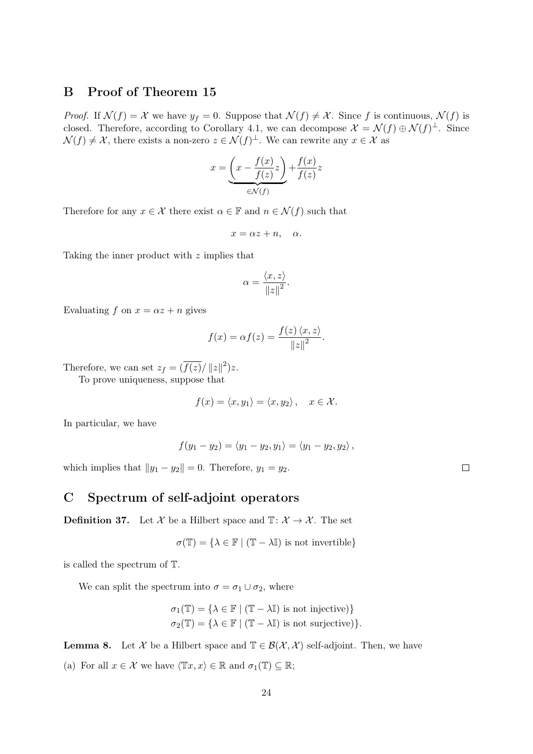# B Proof of Theorem 15

*Proof.* If  $\mathcal{N}(f) = \mathcal{X}$  we have  $y_f = 0$ . Suppose that  $\mathcal{N}(f) \neq \mathcal{X}$ . Since f is continuous,  $\mathcal{N}(f)$  is closed. Therefore, according to Corollary 4.1, we can decompose  $\mathcal{X} = \mathcal{N}(f) \oplus \mathcal{N}(f)^{\perp}$ . Since  $\mathcal{N}(f) \neq \mathcal{X}$ , there exists a non-zero  $z \in \mathcal{N}(f)^{\perp}$ . We can rewrite any  $x \in \mathcal{X}$  as

$$
x = \underbrace{\left(x - \frac{f(x)}{f(z)}z\right)}_{\in \mathcal{N}(f)} + \frac{f(x)}{f(z)}z
$$

Therefore for any  $x \in \mathcal{X}$  there exist  $\alpha \in \mathbb{F}$  and  $n \in \mathcal{N}(f)$  such that

 $x = \alpha z + n, \alpha$ .

Taking the inner product with z implies that

$$
\alpha = \frac{\langle x, z \rangle}{\left\| z \right\|^2}.
$$

Evaluating f on  $x = \alpha z + n$  gives

$$
f(x) = \alpha f(z) = \frac{f(z) \langle x, z \rangle}{\|z\|^2}.
$$

Therefore, we can set  $z_f = (\overline{f(z)}/||z||^2)z$ .

To prove uniqueness, suppose that

$$
f(x) = \langle x, y_1 \rangle = \langle x, y_2 \rangle, \quad x \in \mathcal{X}.
$$

In particular, we have

$$
f(y_1-y_2)=\langle y_1-y_2,y_1\rangle=\langle y_1-y_2,y_2\rangle,
$$

which implies that  $||y_1 - y_2|| = 0$ . Therefore,  $y_1 = y_2$ .

# C Spectrum of self-adjoint operators

**Definition 37.** Let X be a Hilbert space and  $\mathbb{T}$ :  $\mathcal{X} \to \mathcal{X}$ . The set

$$
\sigma(\mathbb{T}) = \{ \lambda \in \mathbb{F} \mid (\mathbb{T} - \lambda \mathbb{I}) \text{ is not invertible} \}
$$

is called the spectrum of T.

We can split the spectrum into  $\sigma = \sigma_1 \cup \sigma_2$ , where

$$
\sigma_1(\mathbb{T}) = \{ \lambda \in \mathbb{F} \mid (\mathbb{T} - \lambda \mathbb{I}) \text{ is not injective} \}
$$

$$
\sigma_2(\mathbb{T}) = \{ \lambda \in \mathbb{F} \mid (\mathbb{T} - \lambda \mathbb{I}) \text{ is not surjective} \}.
$$

**Lemma 8.** Let X be a Hilbert space and  $\mathbb{T} \in \mathcal{B}(\mathcal{X}, \mathcal{X})$  self-adjoint. Then, we have

(a) For all  $x \in \mathcal{X}$  we have  $\langle \mathbb{T}x, x \rangle \in \mathbb{R}$  and  $\sigma_1(\mathbb{T}) \subseteq \mathbb{R}$ ;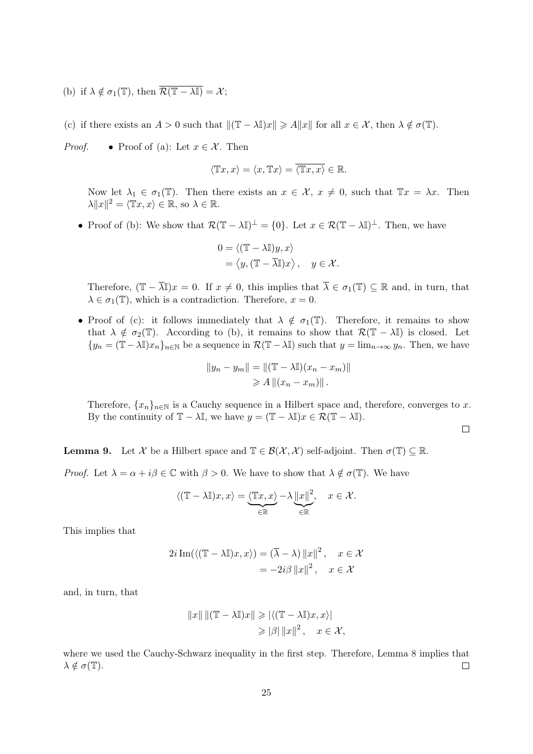(b) if  $\lambda \notin \sigma_1(\mathbb{T})$ , then  $\overline{\mathcal{R}(\mathbb{T} - \lambda \mathbb{I})} = \mathcal{X}$ ;

(c) if there exists an  $A > 0$  such that  $\|(\mathbb{T} - \lambda \mathbb{I})x\| \geq A \|x\|$  for all  $x \in \mathcal{X}$ , then  $\lambda \notin \sigma(\mathbb{T})$ .

*Proof.* • Proof of (a): Let  $x \in \mathcal{X}$ . Then

$$
\langle \mathbb{T}x, x \rangle = \langle x, \mathbb{T}x \rangle = \overline{\langle \mathbb{T}x, x \rangle} \in \mathbb{R}.
$$

Now let  $\lambda_1 \in \sigma_1(\mathbb{T})$ . Then there exists an  $x \in \mathcal{X}$ ,  $x \neq 0$ , such that  $\mathbb{T}x = \lambda x$ . Then  $\lambda ||x||^2 = \langle \mathbb{T}x, x \rangle \in \mathbb{R}$ , so  $\lambda \in \mathbb{R}$ .

• Proof of (b): We show that  $\mathcal{R}(\mathbb{T} - \lambda \mathbb{I})^{\perp} = \{0\}$ . Let  $x \in \mathcal{R}(\mathbb{T} - \lambda \mathbb{I})^{\perp}$ . Then, we have

$$
0 = \langle (\mathbb{T} - \lambda \mathbb{I})y, x \rangle
$$
  
=  $\langle y, (\mathbb{T} - \overline{\lambda} \mathbb{I})x \rangle, \quad y \in \mathcal{X}.$ 

Therefore,  $(\mathbb{T} - \overline{\lambda}\mathbb{I})x = 0$ . If  $x \neq 0$ , this implies that  $\overline{\lambda} \in \sigma_1(\mathbb{T}) \subseteq \mathbb{R}$  and, in turn, that  $\lambda \in \sigma_1(\mathbb{T})$ , which is a contradiction. Therefore,  $x = 0$ .

• Proof of (c): it follows immediately that  $\lambda \notin \sigma_1(\mathbb{T})$ . Therefore, it remains to show that  $\lambda \notin \sigma_2(\mathbb{T})$ . According to (b), it remains to show that  $\mathcal{R}(\mathbb{T} - \lambda \mathbb{I})$  is closed. Let  ${y_n = (\mathbb{T} - \lambda \mathbb{I})x_n}_{n \in \mathbb{N}}$  be a sequence in  $\mathcal{R}(\mathbb{T} - \lambda \mathbb{I})$  such that  $y = \lim_{n \to \infty} y_n$ . Then, we have

$$
||y_n - y_m|| = ||(\mathbb{T} - \lambda \mathbb{I})(x_n - x_m)||
$$
  
\n
$$
\geq A ||(x_n - x_m)||.
$$

Therefore,  $\{x_n\}_{n\in\mathbb{N}}$  is a Cauchy sequence in a Hilbert space and, therefore, converges to x. By the continuity of  $\mathbb{T} - \lambda \mathbb{I}$ , we have  $y = (\mathbb{T} - \lambda \mathbb{I})x \in \mathcal{R}(\mathbb{T} - \lambda \mathbb{I}).$ 

$$
\qquad \qquad \Box
$$

**Lemma 9.** Let X be a Hilbert space and  $\mathbb{T} \in \mathcal{B}(\mathcal{X}, \mathcal{X})$  self-adjoint. Then  $\sigma(\mathbb{T}) \subseteq \mathbb{R}$ .

*Proof.* Let  $\lambda = \alpha + i\beta \in \mathbb{C}$  with  $\beta > 0$ . We have to show that  $\lambda \notin \sigma(\mathbb{T})$ . We have

$$
\langle (\mathbb{T} - \lambda \mathbb{I})x, x \rangle = \underbrace{\langle \mathbb{T}x, x \rangle}_{\in \mathbb{R}} - \lambda \underbrace{\|x\|^2}_{\in \mathbb{R}}, \quad x \in \mathcal{X}.
$$

This implies that

$$
2i \operatorname{Im}(\langle (\mathbb{T} - \lambda \mathbb{I})x, x \rangle) = (\overline{\lambda} - \lambda) ||x||^2, \quad x \in \mathcal{X}
$$

$$
= -2i\beta ||x||^2, \quad x \in \mathcal{X}
$$

and, in turn, that

$$
||x|| ||(\mathbb{T} - \lambda \mathbb{I})x|| \geq |\langle (\mathbb{T} - \lambda \mathbb{I})x, x \rangle|
$$
  
\n
$$
\geq |\beta| ||x||^2, \quad x \in \mathcal{X},
$$

where we used the Cauchy-Schwarz inequality in the first step. Therefore, Lemma 8 implies that  $\lambda \notin \sigma(\mathbb{T}).$  $\Box$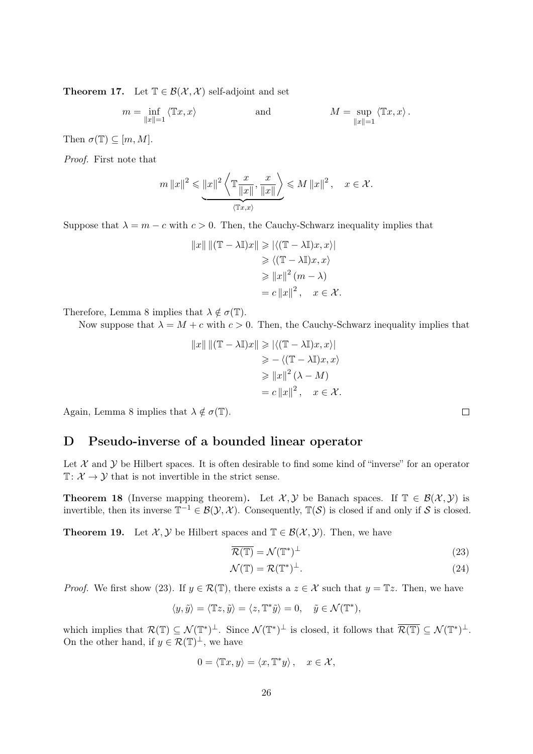**Theorem 17.** Let  $\mathbb{T} \in \mathcal{B}(\mathcal{X}, \mathcal{X})$  self-adjoint and set

$$
m = \inf_{\|x\|=1} \langle \mathbb{T}x, x \rangle \qquad \text{and} \qquad M = \sup_{\|x\|=1} \langle \mathbb{T}x, x \rangle.
$$

Then  $\sigma(\mathbb{T}) \subseteq [m, M].$ 

Proof. First note that

$$
m \|x\|^2 \leqslant \underbrace{\|x\|^2 \left\langle \mathbb{T} \frac{x}{\|x\|}, \frac{x}{\|x\|} \right\rangle}_{\langle \mathbb{T} x, x \rangle} \leqslant M \|x\|^2 \,, \quad x \in \mathcal{X}.
$$

Suppose that  $\lambda = m - c$  with  $c > 0$ . Then, the Cauchy-Schwarz inequality implies that

$$
||x|| ||(\mathbb{T} - \lambda \mathbb{I})x|| \ge | \langle (\mathbb{T} - \lambda \mathbb{I})x, x \rangle |
$$
  
\n
$$
\ge \langle (\mathbb{T} - \lambda \mathbb{I})x, x \rangle
$$
  
\n
$$
\ge ||x||^2 (m - \lambda)
$$
  
\n
$$
= c ||x||^2, \quad x \in \mathcal{X}.
$$

Therefore, Lemma 8 implies that  $\lambda \notin \sigma(\mathbb{T})$ .

Now suppose that  $\lambda = M + c$  with  $c > 0$ . Then, the Cauchy-Schwarz inequality implies that

$$
||x|| ||(\mathbb{T} - \lambda \mathbb{I})x|| \ge | \langle (\mathbb{T} - \lambda \mathbb{I})x, x \rangle |
$$
  
\n
$$
\ge - \langle (\mathbb{T} - \lambda \mathbb{I})x, x \rangle
$$
  
\n
$$
\ge ||x||^2 (\lambda - M)
$$
  
\n
$$
= c ||x||^2, \quad x \in \mathcal{X}.
$$

Again, Lemma 8 implies that  $\lambda \notin \sigma(\mathbb{T})$ .

### D Pseudo-inverse of a bounded linear operator

Let  $\mathcal X$  and  $\mathcal Y$  be Hilbert spaces. It is often desirable to find some kind of "inverse" for an operator  $\mathbb{T}: \mathcal{X} \to \mathcal{Y}$  that is not invertible in the strict sense.

**Theorem 18** (Inverse mapping theorem). Let  $\mathcal{X}, \mathcal{Y}$  be Banach spaces. If  $\mathbb{T} \in \mathcal{B}(\mathcal{X}, \mathcal{Y})$  is invertible, then its inverse  $\mathbb{T}^{-1} \in \mathcal{B}(\mathcal{Y}, \mathcal{X})$ . Consequently,  $\mathbb{T}(\mathcal{S})$  is closed if and only if S is closed.

**Theorem 19.** Let  $\mathcal{X}, \mathcal{Y}$  be Hilbert spaces and  $\mathbb{T} \in \mathcal{B}(\mathcal{X}, \mathcal{Y})$ . Then, we have

$$
\overline{\mathcal{R}(\mathbb{T})} = \mathcal{N}(\mathbb{T}^*)^{\perp} \tag{23}
$$

$$
\mathcal{N}(\mathbb{T}) = \mathcal{R}(\mathbb{T}^*)^{\perp}.
$$
\n(24)

*Proof.* We first show (23). If  $y \in \mathcal{R}(\mathbb{T})$ , there exists a  $z \in \mathcal{X}$  such that  $y = \mathbb{T}z$ . Then, we have

$$
\langle y, \tilde y \rangle = \langle \mathbb{T} z, \tilde y \rangle = \langle z, \mathbb{T}^* \tilde y \rangle = 0, \quad \tilde y \in \mathcal{N}(\mathbb{T}^*),
$$

which implies that  $\mathcal{R}(\mathbb{T}) \subseteq \mathcal{N}(\mathbb{T}^*)^{\perp}$ . Since  $\mathcal{N}(\mathbb{T}^*)^{\perp}$  is closed, it follows that  $\overline{\mathcal{R}(\mathbb{T})} \subseteq \mathcal{N}(\mathbb{T}^*)^{\perp}$ . On the other hand, if  $y \in \mathcal{R}(\mathbb{T})^{\perp}$ , we have

$$
0 = \langle \mathbb{T}x, y \rangle = \langle x, \mathbb{T}^*y \rangle, \quad x \in \mathcal{X},
$$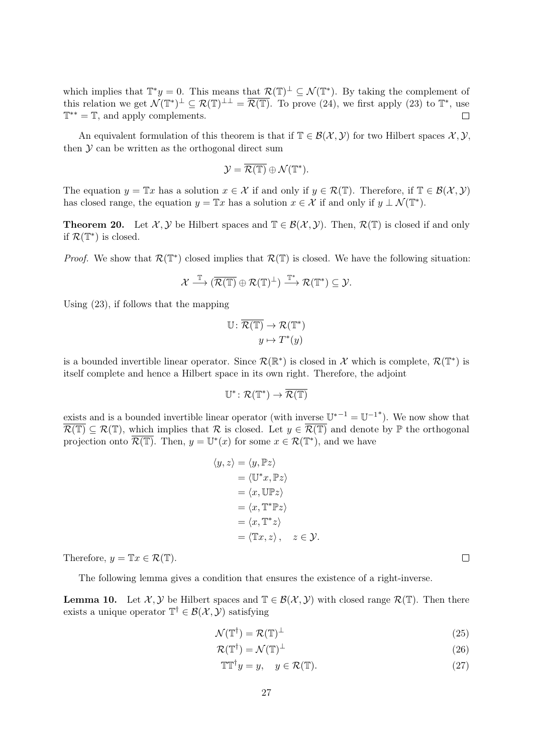which implies that  $\mathbb{T}^*y = 0$ . This means that  $\mathcal{R}(\mathbb{T})^{\perp} \subseteq \mathcal{N}(\mathbb{T}^*)$ . By taking the complement of this relation we get  $\mathcal{N}(\mathbb{T}^*)^{\perp} \subseteq \mathcal{R}(\mathbb{T})^{\perp \perp} = \overline{\mathcal{R}(\mathbb{T})}$ . To prove (24), we first apply (23) to  $\mathbb{T}^*$ , use  $\mathbb{T}^{**} = \mathbb{T}$ , and apply complements.  $\Box$ 

An equivalent formulation of this theorem is that if  $\mathbb{T} \in \mathcal{B}(\mathcal{X}, \mathcal{Y})$  for two Hilbert spaces  $\mathcal{X}, \mathcal{Y},$ then  $\mathcal Y$  can be written as the orthogonal direct sum

$$
\mathcal{Y}=\overline{\mathcal{R}(\mathbb{T})}\oplus \mathcal{N}(\mathbb{T}^*).
$$

The equation  $y = \mathbb{T}x$  has a solution  $x \in \mathcal{X}$  if and only if  $y \in \mathcal{R}(\mathbb{T})$ . Therefore, if  $\mathbb{T} \in \mathcal{B}(\mathcal{X}, \mathcal{Y})$ has closed range, the equation  $y = \mathbb{T}x$  has a solution  $x \in \mathcal{X}$  if and only if  $y \perp \mathcal{N}(\mathbb{T}^*)$ .

**Theorem 20.** Let X, y be Hilbert spaces and  $\mathbb{T} \in \mathcal{B}(\mathcal{X}, \mathcal{Y})$ . Then,  $\mathcal{R}(\mathbb{T})$  is closed if and only if  $\mathcal{R}(\mathbb{T}^*)$  is closed.

*Proof.* We show that  $\mathcal{R}(\mathbb{T}^*)$  closed implies that  $\mathcal{R}(\mathbb{T})$  is closed. We have the following situation:

$$
\mathcal{X} \stackrel{\mathbb{T}}{\longrightarrow} (\overline{\mathcal{R}(\mathbb{T})} \oplus \mathcal{R}(\mathbb{T})^{\perp}) \stackrel{\mathbb{T}^*}{\longrightarrow} \mathcal{R}(\mathbb{T}^*) \subseteq \mathcal{Y}.
$$

Using (23), if follows that the mapping

$$
\mathbb{U} \colon \overline{\mathcal{R}(\mathbb{T})} \to \mathcal{R}(\mathbb{T}^*)
$$

$$
y \mapsto T^*(y)
$$

is a bounded invertible linear operator. Since  $\mathcal{R}(\mathbb{R}^*)$  is closed in X which is complete,  $\mathcal{R}(\mathbb{T}^*)$  is itself complete and hence a Hilbert space in its own right. Therefore, the adjoint

$$
\mathbb{U}^*\colon \mathcal{R}(\mathbb{T}^*)\to \overline{\mathcal{R}(\mathbb{T})}
$$

exists and is a bounded invertible linear operator (with inverse  $\mathbb{U}^{*-1} = \mathbb{U}^{-1*}$ ). We now show that  $\overline{\mathcal{R}(\mathbb{T})} \subset \mathcal{R}(\mathbb{T})$ , which implies that  $\mathcal{R}$  is closed. Let  $y \in \overline{\mathcal{R}(\mathbb{T})}$  and denote by  $\mathbb{P}$  the orthogonal projection onto  $\overline{\mathcal{R}(\mathbb{T})}$ . Then,  $y = \mathbb{U}^*(x)$  for some  $x \in \mathcal{R}(\mathbb{T}^*)$ , and we have

$$
\langle y, z \rangle = \langle y, \mathbb{P}z \rangle
$$
  
=  $\langle \mathbb{U}^* x, \mathbb{P}z \rangle$   
=  $\langle x, \mathbb{U} \mathbb{P}z \rangle$   
=  $\langle x, \mathbb{T}^* \mathbb{P}z \rangle$   
=  $\langle x, \mathbb{T}^* z \rangle$   
=  $\langle \mathbb{T}x, z \rangle, \quad z \in \mathcal{Y}.$ 

Therefore,  $y = \mathbb{T}x \in \mathcal{R}(\mathbb{T})$ .

The following lemma gives a condition that ensures the existence of a right-inverse.

**Lemma 10.** Let  $\mathcal{X}, \mathcal{Y}$  be Hilbert spaces and  $\mathbb{T} \in \mathcal{B}(\mathcal{X}, \mathcal{Y})$  with closed range  $\mathcal{R}(\mathbb{T})$ . Then there exists a unique operator  $\mathbb{T}^{\dagger} \in \mathcal{B}(\mathcal{X}, \mathcal{Y})$  satisfying

$$
\mathcal{N}(\mathbb{T}^{\dagger}) = \mathcal{R}(\mathbb{T})^{\perp} \tag{25}
$$

$$
\mathcal{R}(\mathbb{T}^{\dagger}) = \mathcal{N}(\mathbb{T})^{\perp} \tag{26}
$$

$$
\mathbb{T}\mathbb{T}^{\dagger}y = y, \quad y \in \mathcal{R}(\mathbb{T}).\tag{27}
$$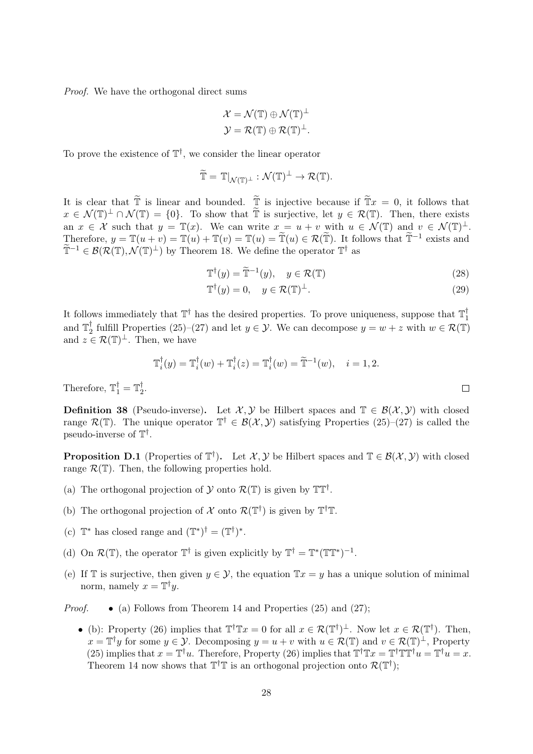Proof. We have the orthogonal direct sums

$$
\mathcal{X} = \mathcal{N}(\mathbb{T}) \oplus \mathcal{N}(\mathbb{T})^{\perp}
$$

$$
\mathcal{Y} = \mathcal{R}(\mathbb{T}) \oplus \mathcal{R}(\mathbb{T})^{\perp}.
$$

To prove the existence of  $\mathbb{T}^{\dagger}$ , we consider the linear operator

$$
\widetilde{\mathbb{T}} = \mathbb{T}|_{\mathcal{N}(\mathbb{T})^{\perp}} : \mathcal{N}(\mathbb{T})^{\perp} \to \mathcal{R}(\mathbb{T}).
$$

It is clear that  $\tilde{\mathbb{T}}$  is linear and bounded.  $\tilde{\mathbb{T}}$  is injective because if  $\tilde{\mathbb{T}}x = 0$ , it follows that  $x \in \mathcal{N}(\mathbb{T})^{\perp} \cap \mathcal{N}(\mathbb{T}) = \{0\}$ . To show that  $\widetilde{\mathbb{T}}$  is surjective, let  $y \in \mathcal{R}(\mathbb{T})$ . Then, there exists an  $x \in \mathcal{X}$  such that  $y = \mathbb{T}(x)$ . We can write  $x = u + v$  with  $u \in \mathcal{N}(\mathbb{T})$  and  $v \in \mathcal{N}(\mathbb{T})^{\perp}$ . Therefore,  $y = \mathbb{T}(u + v) = \mathbb{T}(u) + \mathbb{T}(v) = \mathbb{T}(u) = \mathbb{T}(u) \in \mathcal{R}(\mathbb{T})$ . It follows that  $\mathbb{T}^{-1}$  exists and  $\widetilde{\mathbb{T}}^{-1} \in \mathcal{B}(\mathcal{R}(\mathbb{T}), \mathcal{N}(\mathbb{T})^{\perp})$  by Theorem 18. We define the operator  $\mathbb{T}^{\dagger}$  as

$$
\mathbb{T}^{\dagger}(y) = \widetilde{\mathbb{T}}^{-1}(y), \quad y \in \mathcal{R}(\mathbb{T})
$$
\n(28)

$$
\mathbb{T}^{\dagger}(y) = 0, \quad y \in \mathcal{R}(\mathbb{T})^{\perp}.
$$
 (29)

It follows immediately that  $\mathbb{T}^{\dagger}$  has the desired properties. To prove uniqueness, suppose that  $\mathbb{T}_1^{\dagger}$ 1 and  $\mathbb{T}_2^{\dagger}$ <sup>†</sup><sub>2</sub> fulfill Properties (25)–(27) and let  $y \in \mathcal{Y}$ . We can decompose  $y = w + z$  with  $w \in \mathcal{R}(\mathbb{T})$ and  $z \in \mathcal{R}(\mathbb{T})^{\perp}$ . Then, we have

$$
\mathbb{T}_i^{\dagger}(y) = \mathbb{T}_i^{\dagger}(w) + \mathbb{T}_i^{\dagger}(z) = \mathbb{T}_i^{\dagger}(w) = \widetilde{\mathbb{T}}^{-1}(w), \quad i = 1, 2.
$$

Therefore,  $\mathbb{T}_1^{\dagger} = \mathbb{T}_2^{\dagger}$ 2 .

**Definition 38** (Pseudo-inverse). Let  $\mathcal{X}, \mathcal{Y}$  be Hilbert spaces and  $\mathbb{T} \in \mathcal{B}(\mathcal{X}, \mathcal{Y})$  with closed range  $\mathcal{R}(\mathbb{T})$ . The unique operator  $\mathbb{T}^{\dagger} \in \mathcal{B}(\mathcal{X}, \mathcal{Y})$  satisfying Properties  $(25)-(27)$  is called the pseudo-inverse of  $T^{\dagger}$ .

**Proposition D.1** (Properties of  $\mathbb{T}^{\dagger}$ ). Let  $\mathcal{X}, \mathcal{Y}$  be Hilbert spaces and  $\mathbb{T} \in \mathcal{B}(\mathcal{X}, \mathcal{Y})$  with closed range  $\mathcal{R}(\mathbb{T})$ . Then, the following properties hold.

- (a) The orthogonal projection of  $\mathcal Y$  onto  $\mathcal R(\mathbb T)$  is given by  $\mathbb T\mathbb T^{\dagger}$ .
- (b) The orthogonal projection of  $\mathcal X$  onto  $\mathcal R(\mathbb T^\dagger)$  is given by  $\mathbb T^\dagger \mathbb T$ .
- (c)  $\mathbb{T}^*$  has closed range and  $(\mathbb{T}^*)^{\dagger} = (\mathbb{T}^{\dagger})^*$ .
- (d) On  $\mathcal{R}(\mathbb{T})$ , the operator  $\mathbb{T}^{\dagger}$  is given explicitly by  $\mathbb{T}^{\dagger} = \mathbb{T}^*(\mathbb{T}^*)^{-1}$ .
- (e) If T is surjective, then given  $y \in \mathcal{Y}$ , the equation  $Tx = y$  has a unique solution of minimal norm, namely  $x = \mathbb{T}^{\dagger}y$ .
- *Proof.* (a) Follows from Theorem 14 and Properties (25) and (27);
	- (b): Property (26) implies that  $\mathbb{T}^{\dagger} \mathbb{T} x = 0$  for all  $x \in \mathcal{R}(\mathbb{T}^{\dagger})^{\perp}$ . Now let  $x \in \mathcal{R}(\mathbb{T}^{\dagger})$ . Then,  $x = \mathbb{T}^{\dagger}y$  for some  $y \in \mathcal{Y}$ . Decomposing  $y = u + v$  with  $u \in \mathcal{R}(\mathbb{T})$  and  $v \in \mathcal{R}(\mathbb{T})^{\perp}$ , Property (25) implies that  $x = \mathbb{T}^{\dagger}u$ . Therefore, Property (26) implies that  $\mathbb{T}^{\dagger}\mathbb{T}x = \mathbb{T}^{\dagger}\mathbb{T}\mathbb{T}^{\dagger}u = \mathbb{T}^{\dagger}u = x$ . Theorem 14 now shows that  $T^{\dagger}T$  is an orthogonal projection onto  $\mathcal{R}(T^{\dagger})$ ;

J.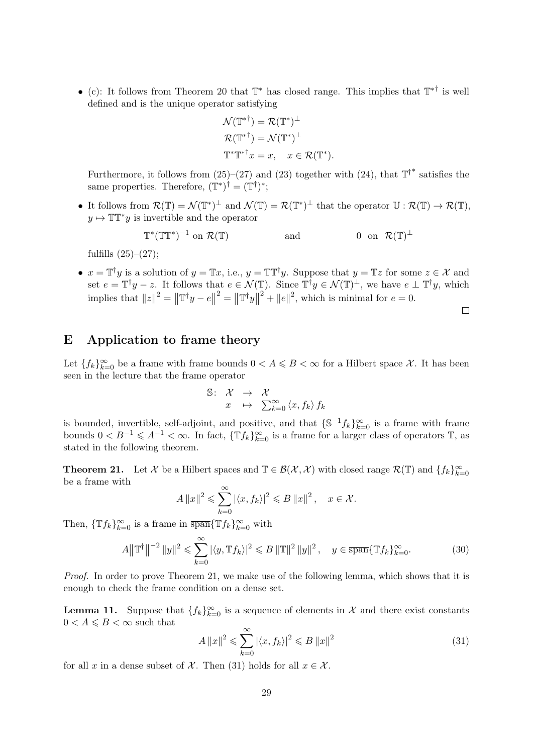• (c): It follows from Theorem 20 that  $\mathbb{T}^*$  has closed range. This implies that  $\mathbb{T}^{* \dagger}$  is well defined and is the unique operator satisfying

$$
\mathcal{N}(\mathbb{T}^*) = \mathcal{R}(\mathbb{T}^*)^{\perp}
$$

$$
\mathcal{R}(\mathbb{T}^*) = \mathcal{N}(\mathbb{T}^*)^{\perp}
$$

$$
\mathbb{T}^*\mathbb{T}^*\mathbb{T}^*x = x, \quad x \in \mathcal{R}(\mathbb{T}^*).
$$

Furthermore, it follows from  $(25)-(27)$  and  $(23)$  together with  $(24)$ , that  $\mathbb{T}^{\dagger}^*$  satisfies the same properties. Therefore,  $(\mathbb{T}^*)^{\dagger} = (\mathbb{T}^{\dagger})^*$ ;

• It follows from  $\mathcal{R}(\mathbb{T}) = \mathcal{N}(\mathbb{T}^*)^{\perp}$  and  $\mathcal{N}(\mathbb{T}) = \mathcal{R}(\mathbb{T}^*)^{\perp}$  that the operator  $\mathbb{U} : \mathcal{R}(\mathbb{T}) \to \mathcal{R}(\mathbb{T})$ ,  $y \mapsto \mathbb{T} \mathbb{T}^* y$  is invertible and the operator

> $\mathbb{T}^*(\mathbb{T} \mathbb{T}^*)^{-1}$ on  $\mathcal{R}(\mathbb{T})$  and 0 on  $\mathcal{R}(\mathbb{T})^{\perp}$

fulfills  $(25)-(27)$ ;

•  $x = \mathbb{T}^{\dagger}y$  is a solution of  $y = \mathbb{T}x$ , i.e.,  $y = \mathbb{T} \mathbb{T}^{\dagger}y$ . Suppose that  $y = \mathbb{T}z$  for some  $z \in \mathcal{X}$  and set  $e = \mathbb{T}^{\dagger}y - z$ . It follows that  $e \in \mathcal{N}(\mathbb{T})$ . Since  $\mathbb{T}^{\dagger}y \in \mathcal{N}(\mathbb{T})^{\perp}$ , we have  $e \perp \mathbb{T}^{\dagger}y$ , which implies that  $||z||^2 = ||\mathbb{T}^{\dagger} y - e||^2 = ||\mathbb{T}^{\dagger} y||^2 + ||e||^2$ , which is minimal for  $e = 0$ .

 $\Box$ 

# E Application to frame theory

Let  $\{f_k\}_{k=0}^{\infty}$  be a frame with frame bounds  $0 < A \leqslant B < \infty$  for a Hilbert space X. It has been seen in the lecture that the frame operator

$$
\begin{array}{rcl} \mathbb{S}\colon & \mathcal{X} & \to & \mathcal{X} \\ & x & \mapsto & \sum_{k=0}^{\infty} \left\langle x, f_{k} \right\rangle f_{k} \end{array}
$$

is bounded, invertible, self-adjoint, and positive, and that  $\{\mathbb{S}^{-1}f_k\}_{k=0}^{\infty}$  is a frame with frame bounds  $0 < B^{-1} \leq A^{-1} < \infty$ . In fact,  $\{\mathbb{T}f_k\}_{k=0}^{\infty}$  is a frame for a larger class of operators  $\mathbb{T}$ , as stated in the following theorem.

**Theorem 21.** Let X be a Hilbert spaces and  $\mathbb{T} \in \mathcal{B}(\mathcal{X}, \mathcal{X})$  with closed range  $\mathcal{R}(\mathbb{T})$  and  $\{f_k\}_{k=0}^{\infty}$ be a frame with

$$
A \|x\|^2 \leqslant \sum_{k=0}^{\infty} |\langle x, f_k \rangle|^2 \leqslant B \|x\|^2 \,, \quad x \in \mathcal{X}.
$$

Then,  $\{\mathbb{T}f_k\}_{k=0}^{\infty}$  is a frame in  $\overline{\text{span}}\{\mathbb{T}f_k\}_{k=0}^{\infty}$  with

$$
A ||\mathbb{T}^{\dagger}||^{-2} ||y||^2 \leq \sum_{k=0}^{\infty} |\langle y, \mathbb{T}f_k \rangle|^2 \leq B ||\mathbb{T}||^2 ||y||^2, \quad y \in \overline{\text{span}} \{\mathbb{T}f_k\}_{k=0}^{\infty}.
$$
 (30)

Proof. In order to prove Theorem 21, we make use of the following lemma, which shows that it is enough to check the frame condition on a dense set.

**Lemma 11.** Suppose that  $\{f_k\}_{k=0}^{\infty}$  is a sequence of elements in X and there exist constants  $0 < A \leq B < \infty$  such that

$$
A \|x\|^2 \leqslant \sum_{k=0}^{\infty} |\langle x, f_k \rangle|^2 \leqslant B \|x\|^2 \tag{31}
$$

for all x in a dense subset of  $\mathcal X$ . Then (31) holds for all  $x \in \mathcal X$ .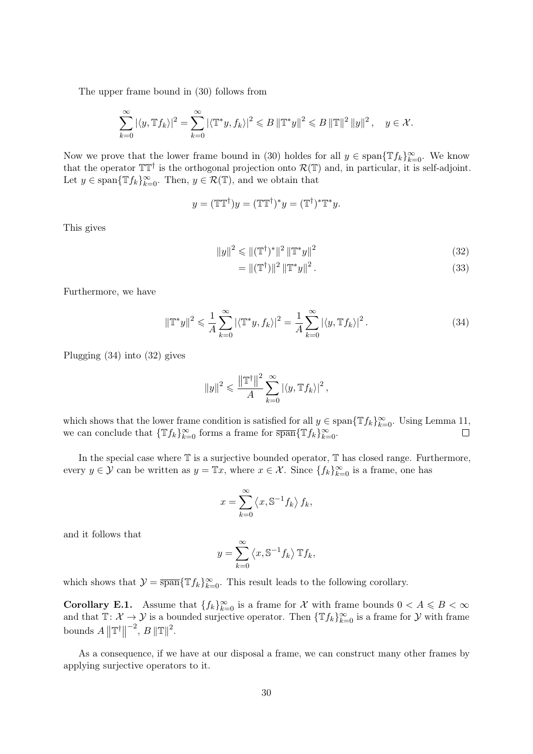The upper frame bound in (30) follows from

$$
\sum_{k=0}^{\infty} \left| \langle y, \mathbb{T} f_k \rangle \right|^2 = \sum_{k=0}^{\infty} \left| \langle \mathbb{T}^* y, f_k \rangle \right|^2 \leqslant B \left\| \mathbb{T}^* y \right\|^2 \leqslant B \left\| \mathbb{T} \right\|^2 \left\| y \right\|^2, \quad y \in \mathcal{X}.
$$

Now we prove that the lower frame bound in (30) holdes for all  $y \in \text{span}\{\mathbb{T}f_k\}_{k=0}^{\infty}$ . We know that the operator  $T T^{\dagger}$  is the orthogonal projection onto  $\mathcal{R}(T)$  and, in particular, it is self-adjoint. Let  $y \in \text{span}\{\mathbb{T}f_k\}_{k=0}^{\infty}$ . Then,  $y \in \mathcal{R}(\mathbb{T})$ , and we obtain that

$$
y = (\mathbb{T}\mathbb{T}^{\dagger})y = (\mathbb{T}\mathbb{T}^{\dagger})^*y = (\mathbb{T}^{\dagger})^*\mathbb{T}^*y.
$$

This gives

$$
||y||^2 \le ||(\mathbb{T}^{\dagger})^*||^2 ||\mathbb{T}^*y||^2
$$
\n(32)

$$
= \|(\mathbb{T}^{\dagger})\|^{2} \left\|\mathbb{T}^{*} y\right\|^{2}.
$$
\n
$$
(33)
$$

Furthermore, we have

$$
\|\mathbb{T}^*y\|^2 \leq \frac{1}{A} \sum_{k=0}^{\infty} |\langle \mathbb{T}^*y, f_k \rangle|^2 = \frac{1}{A} \sum_{k=0}^{\infty} |\langle y, \mathbb{T}f_k \rangle|^2.
$$
 (34)

Plugging (34) into (32) gives

$$
||y||^2 \leqslant \frac{||\mathbb{T}^{\dagger}||^2}{A} \sum_{k=0}^{\infty} |\langle y, \mathbb{T} f_k \rangle|^2,
$$

which shows that the lower frame condition is satisfied for all  $y \in \text{span}\{\mathbb{T}f_k\}_{k=0}^{\infty}$ . Using Lemma 11, we can conclude that  $\{\mathbb{T}f_k\}_{k=0}^{\infty}$  forms a frame for  $\overline{\text{span}}\{\mathbb{T}f_k\}_{k=0}^{\infty}$ .  $\Box$ 

In the special case where  $\mathbb T$  is a surjective bounded operator,  $\mathbb T$  has closed range. Furthermore, every  $y \in \mathcal{Y}$  can be written as  $y = \mathbb{T}x$ , where  $x \in \mathcal{X}$ . Since  $\{f_k\}_{k=0}^{\infty}$  is a frame, one has

$$
x = \sum_{k=0}^{\infty} \langle x, \mathbb{S}^{-1} f_k \rangle f_k,
$$

and it follows that

$$
y = \sum_{k=0}^{\infty} \langle x, \mathbb{S}^{-1} f_k \rangle \, \mathbb{T} f_k,
$$

which shows that  $\mathcal{Y} = \overline{\text{span}} \{ \mathbb{T} f_k \}_{k=0}^{\infty}$ . This result leads to the following corollary.

**Corollary E.1.** Assume that  $\{f_k\}_{k=0}^{\infty}$  is a frame for X with frame bounds  $0 < A \leq B < \infty$ and that  $\mathbb{T} \colon \mathcal{X} \to \mathcal{Y}$  is a bounded surjective operator. Then  $\{\mathbb{T}f_k\}_{k=0}^{\infty}$  is a frame for  $\mathcal{Y}$  with frame bounds  $A \parallel T^{\dagger} \parallel$  $^{-2}, B \|\mathbb{T}\|^2.$ 

As a consequence, if we have at our disposal a frame, we can construct many other frames by applying surjective operators to it.